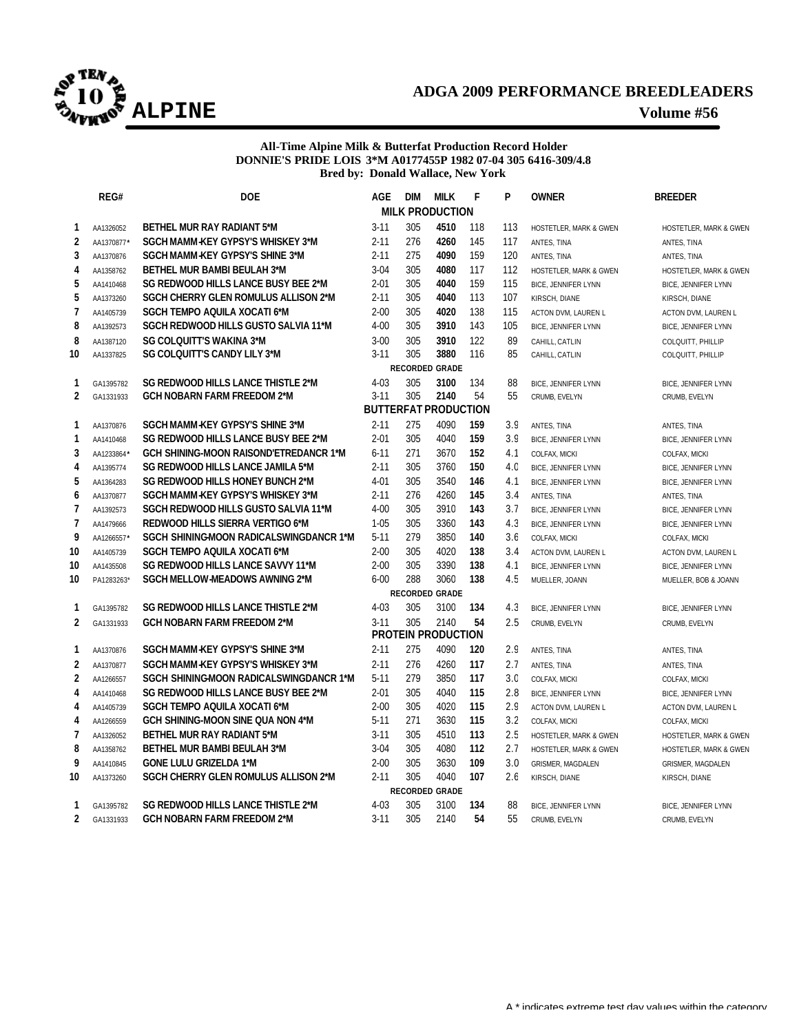

# **ADGA 2009 PERFORMANCE BREEDLEADERS ALPINE Volume #56**

## **All-Time Alpine Milk & Butterfat Production Record Holder DONNIE'S PRIDE LOIS 3\*M A0177455P 1982 07-04 305 6416-309/4.8 Bred by: Donald Wallace, New York**

|                         | REG#                    | <b>DOE</b>                                                                 | <b>AGE</b>            | <b>DIM</b> | <b>MILK</b>                 | F          | P              | <b>OWNER</b>                                 | <b>BREEDER</b>             |  |  |
|-------------------------|-------------------------|----------------------------------------------------------------------------|-----------------------|------------|-----------------------------|------------|----------------|----------------------------------------------|----------------------------|--|--|
|                         |                         |                                                                            |                       |            | <b>MILK PRODUCTION</b>      |            |                |                                              |                            |  |  |
| 1                       | AA1326052               | <b>BETHEL MUR RAY RADIANT 5*M</b>                                          | $3 - 11$              | 305        | 4510                        | 118        | 113            | HOSTETLER, MARK & GWEN                       | HOSTETLER, MARK & GWEN     |  |  |
| $\overline{2}$          | AA1370877*              | SGCH MAMM-KEY GYPSY'S WHISKEY 3*M                                          | $2 - 11$              | 276        | 4260                        | 145        | 117            | ANTES, TINA                                  | ANTES, TINA                |  |  |
| 3                       | AA1370876               | SGCH MAMM-KEY GYPSY'S SHINE 3*M                                            | $2 - 11$              | 275        | 4090                        | 159        | 120            | ANTES, TINA                                  | ANTES, TINA                |  |  |
| 4                       | AA1358762               | <b>BETHEL MUR BAMBI BEULAH 3*M</b>                                         | $3 - 04$              | 305        | 4080                        | 117        | 112            | HOSTETLER, MARK & GWEN                       | HOSTETLER, MARK & GWEN     |  |  |
| 5                       | AA1410468               | SG REDWOOD HILLS LANCE BUSY BEE 2*M                                        | $2 - 01$              | 305        | 4040                        | 159        | 115            | <b>BICE, JENNIFER LYNN</b>                   | <b>BICE, JENNIFER LYNN</b> |  |  |
| 5                       | AA1373260               | <b>SGCH CHERRY GLEN ROMULUS ALLISON 2*M</b>                                | 2-11                  | 305        | 4040                        | 113        | 107            | KIRSCH, DIANE                                | KIRSCH, DIANE              |  |  |
| 7                       | AA1405739               | SGCH TEMPO AQUILA XOCATI 6*M                                               | $2 - 00$              | 305        | 4020                        | 138        | 115            | ACTON DVM, LAUREN L                          | ACTON DVM, LAUREN L        |  |  |
| 8                       | AA1392573               | SGCH REDWOOD HILLS GUSTO SALVIA 11*M                                       | $4 - 00$              | 305        | 3910                        | 143        | 105            | <b>BICE, JENNIFER LYNN</b>                   | <b>BICE, JENNIFER LYNN</b> |  |  |
| 8                       | AA1387120               | <b>SG COLQUITT'S WAKINA 3*M</b>                                            | $3 - 00$              | 305        | 3910                        | 122        | 89             | CAHILL, CATLIN                               | COLQUITT, PHILLIP          |  |  |
| 10                      | AA1337825               | SG COLQUITT'S CANDY LILY 3*M                                               | $3 - 11$              | 305        | 3880                        | 116        | 85             | CAHILL, CATLIN                               | COLQUITT, PHILLIP          |  |  |
| <b>RECORDED GRADE</b>   |                         |                                                                            |                       |            |                             |            |                |                                              |                            |  |  |
| 1                       | GA1395782               | SG REDWOOD HILLS LANCE THISTLE 2*M                                         | $4 - 03$              | 305        | 3100                        | 134        | 88             | <b>BICE, JENNIFER LYNN</b>                   | BICE, JENNIFER LYNN        |  |  |
| $\overline{2}$          | GA1331933               | <b>GCH NOBARN FARM FREEDOM 2*M</b>                                         | $3 - 11$              | 305        | 2140                        | 54         | 55             | CRUMB, EVELYN                                | CRUMB, EVELYN              |  |  |
|                         |                         |                                                                            |                       |            | <b>BUTTERFAT PRODUCTION</b> |            |                |                                              |                            |  |  |
| 1                       | AA1370876               | SGCH MAMM-KEY GYPSY'S SHINE 3*M                                            | $2 - 11$              | 275        | 4090                        | 159        | 3.9            | ANTES, TINA                                  | ANTES, TINA                |  |  |
| 1                       | AA1410468               | SG REDWOOD HILLS LANCE BUSY BEE 2*M                                        | $2 - 01$              | 305        | 4040                        | 159        | 3.9            | <b>BICE, JENNIFER LYNN</b>                   | BICE, JENNIFER LYNN        |  |  |
| 3                       | AA1233864               | <b>GCH SHINING-MOON RAISOND'ETREDANCR 1*M</b>                              | $6 - 11$              | 271        | 3670                        | 152        | 4.1            | COLFAX, MICKI                                | COLFAX, MICKI              |  |  |
| 4                       | AA1395774               | <b>SG REDWOOD HILLS LANCE JAMILA 5*M</b>                                   | $2 - 11$              | 305        | 3760                        | 150        | 4 <sub>c</sub> | <b>BICE, JENNIFER LYNN</b>                   | <b>BICE, JENNIFER LYNN</b> |  |  |
| 5                       | AA1364283               | SG REDWOOD HILLS HONEY BUNCH 2*M                                           | $4 - 01$              | 305        | 3540                        | 146        | 4.1            | <b>BICE, JENNIFER LYNN</b>                   | <b>BICE, JENNIFER LYNN</b> |  |  |
| 6                       | AA1370877               | SGCH MAMM-KEY GYPSY'S WHISKEY 3*M                                          | $2 - 11$              | 276        | 4260<br>3910                | 145        | 3.4            | ANTES, TINA                                  | ANTES, TINA                |  |  |
| $\overline{7}$          | AA1392573               | SGCH REDWOOD HILLS GUSTO SALVIA 11*M                                       | $4 - 00$              | 305        |                             | 143        | 3.7            | <b>BICE, JENNIFER LYNN</b>                   | <b>BICE, JENNIFER LYNN</b> |  |  |
| $\overline{7}$<br>9     | AA1479666               | REDWOOD HILLS SIERRA VERTIGO 6*M<br>SGCH SHININGMOON RADICALSWINGDANCR 1*M | $1 - 0.5$<br>$5 - 11$ | 305<br>279 | 3360<br>3850                | 143<br>140 | 4.3<br>3.f     | <b>BICE, JENNIFER LYNN</b>                   | <b>BICE, JENNIFER LYNN</b> |  |  |
|                         | AA1266557               |                                                                            | $2 - 00$              | 305        | 4020                        | 138        | 3.4            | COLFAX, MICKI                                | COLFAX, MICKI              |  |  |
| 10                      | AA1405739               | SGCH TEMPO AQUILA XOCATI 6*M<br>SG REDWOOD HILLS LANCE SAVVY 11*M          | $2 - 00$              | 305        | 3390                        | 138        | 4.1            | ACTON DVM, LAUREN L                          | ACTON DVM, LAUREN L        |  |  |
| 10<br>10                | AA1435508<br>PA1283263* | SGCH MELLOW MEADOWS AWNING 2*M                                             | $6 - 00$              | 288        | 3060                        | 138        | 4.5            | <b>BICE, JENNIFER LYNN</b><br>MUELLER, JOANN | BICE, JENNIFER LYNN        |  |  |
|                         |                         |                                                                            |                       |            | <b>RECORDED GRADE</b>       |            |                |                                              | MUELLER, BOB & JOANN       |  |  |
| 1                       | GA1395782               | SG REDWOOD HILLS LANCE THISTLE 2*M                                         | $4 - 03$              | 305        | 3100                        | 134        | 4.3            | BICE, JENNIFER LYNN                          | BICE, JENNIFER LYNN        |  |  |
| $\overline{2}$          | GA1331933               | <b>GCH NOBARN FARM FREEDOM 2*M</b>                                         | $3 - 11$              | 305        | 2140                        | 54         | 2.5            | CRUMB, EVELYN                                | CRUMB, EVELYN              |  |  |
|                         |                         |                                                                            |                       |            | <b>PROTEIN PRODUCTION</b>   |            |                |                                              |                            |  |  |
| 1                       | AA1370876               | SGCH MAMM-KEY GYPSY'S SHINE 3*M                                            | 2-11                  | 275        | 4090                        | 120        | 2.9            | ANTES, TINA                                  | ANTES, TINA                |  |  |
| $\overline{\mathbf{2}}$ | AA1370877               | SGCH MAMM-KEY GYPSY'S WHISKEY 3*M                                          | $2 - 11$              | 276        | 4260                        | 117        | 2.7            | ANTES, TINA                                  | ANTES, TINA                |  |  |
| $\overline{2}$          | AA1266557               | SGCH SHINING-MOON RADICALSWINGDANCR 1*M                                    | $5 - 11$              | 279        | 3850                        | 117        | 3 <sub>c</sub> | COLFAX, MICKI                                | COLFAX, MICKI              |  |  |
| 4                       | AA1410468               | SG REDWOOD HILLS LANCE BUSY BEE 2*M                                        | $2 - 01$              | 305        | 4040                        | 115        | 2.8            | <b>BICE, JENNIFER LYNN</b>                   | BICE, JENNIFER LYNN        |  |  |
| 4                       | AA1405739               | SGCH TEMPO AQUILA XOCATI 6*M                                               | $2 - 00$              | 305        | 4020                        | 115        | 2.9            | ACTON DVM, LAUREN L                          | ACTON DVM, LAUREN L        |  |  |
| 4                       | AA1266559               | GCH SHINING-MOON SINE QUA NON 4*M                                          | $5 - 11$              | 271        | 3630                        | 115        | 3.2            | COLFAX, MICKI                                | COLFAX, MICKI              |  |  |
| $\overline{1}$          | AA1326052               | <b>BETHEL MUR RAY RADIANT 5*M</b>                                          | $3 - 11$              | 305        | 4510                        | 113        | 2.5            | HOSTETLER, MARK & GWEN                       | HOSTETLER, MARK & GWEN     |  |  |
| 8                       | AA1358762               | <b>BETHEL MUR BAMBI BEULAH 3*M</b>                                         | $3 - 04$              | 305        | 4080                        | 112        | 2.7            | HOSTETLER, MARK & GWEN                       | HOSTETLER, MARK & GWEN     |  |  |
| 9                       | AA1410845               | <b>GONE LULU GRIZELDA 1*M</b>                                              | $2 - 00$              | 305        | 3630                        | 109        | 3.0            | GRISMER, MAGDALEN                            | GRISMER, MAGDALEN          |  |  |
| 10                      | AA1373260               | SGCH CHERRY GLEN ROMULUS ALLISON 2*M                                       | $2 - 11$              | 305        | 4040                        | 107        | 2.6            | KIRSCH, DIANE                                | KIRSCH, DIANE              |  |  |
|                         |                         |                                                                            |                       |            | <b>RECORDED GRADE</b>       |            |                |                                              |                            |  |  |
| 1                       | GA1395782               | SG REDWOOD HILLS LANCE THISTLE 2*M                                         | $4 - 03$              | 305        | 3100                        | 134        | 88             | <b>BICE, JENNIFER LYNN</b>                   | BICE, JENNIFER LYNN        |  |  |
| $\overline{2}$          | GA1331933               | <b>GCH NOBARN FARM FREEDOM 2*M</b>                                         | $3 - 11$              | 305        | 2140                        | 54         | 55             | CRUMB, EVELYN                                | CRUMB, EVELYN              |  |  |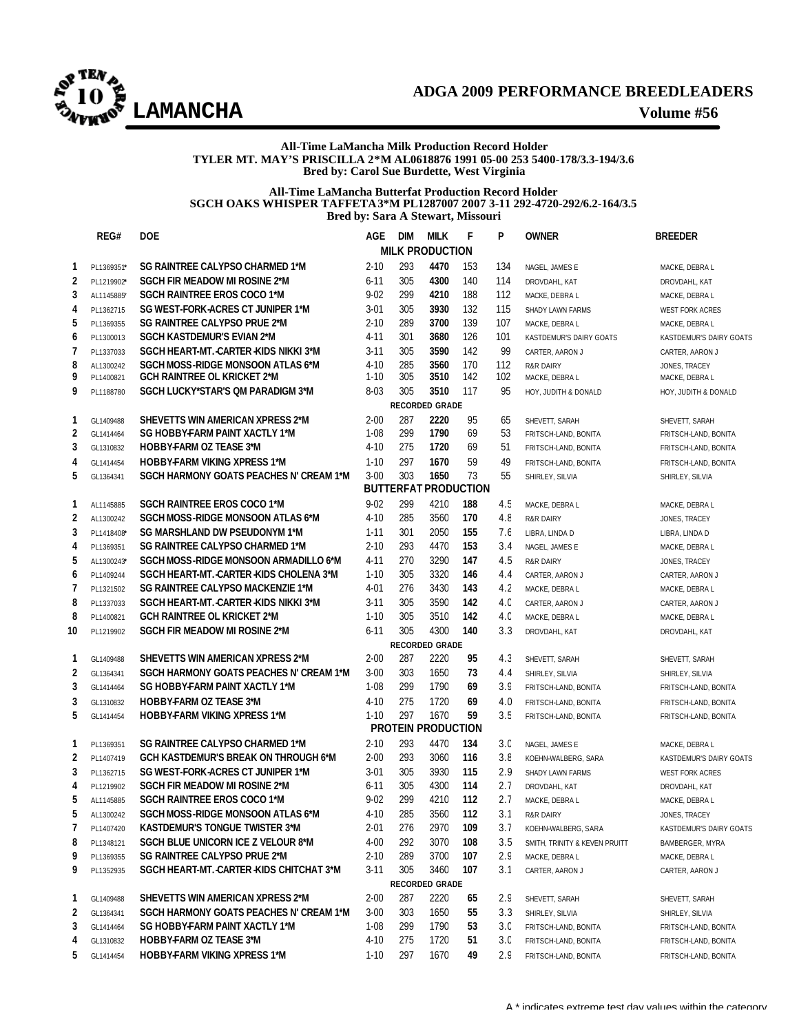

### **All-Time LaMancha Milk Production Record Holder TYLER MT. MAY'S PRISCILLA 2\*M AL0618876 1991 05-00 253 5400-178/3.3-194/3.6 Bred by: Carol Sue Burdette, West Virginia**

### **All-Time LaMancha Butterfat Production Record Holder SGCH OAKS WHISPER TAFFETA3\*M PL1287007 2007 3-11 292-4720-292/6.2-164/3.5 Bred by: Sara A Stewart, Missouri**

|    | REG#                        | <b>DOE</b>                                  | AGE      | <b>DIM</b> | <b>MILK</b>               | F   | P   | <b>OWNER</b>                  | <b>BREEDER</b>          |  |  |  |
|----|-----------------------------|---------------------------------------------|----------|------------|---------------------------|-----|-----|-------------------------------|-------------------------|--|--|--|
|    |                             |                                             |          |            | <b>MILK PRODUCTION</b>    |     |     |                               |                         |  |  |  |
| 1  | PL1369351*                  | SG RAINTREE CALYPSO CHARMED 1*M             | $2 - 10$ | 293        | 4470                      | 153 | 134 | NAGEL, JAMES E                | MACKE, DEBRA L          |  |  |  |
| 2  | PL1219902*                  | <b>SGCH FIR MEADOW MI ROSINE 2*M</b>        | $6 - 11$ | 305        | 4300                      | 140 | 114 | DROVDAHL, KAT                 | DROVDAHL, KAT           |  |  |  |
| 3  | AL1145885*                  | <b>SGCH RAINTREE EROS COCO 1*M</b>          | $9 - 02$ | 299        | 4210                      | 188 | 112 | MACKE, DEBRA L                | MACKE, DEBRA L          |  |  |  |
| 4  | PL1362715                   | SG WEST-FORK-ACRES CT JUNIPER 1*M           | $3 - 01$ | 305        | 3930                      | 132 | 115 | SHADY LAWN FARMS              | <b>WEST FORK ACRES</b>  |  |  |  |
| 5  | PL1369355                   | SG RAINTREE CALYPSO PRUE 2*M                | $2 - 10$ | 289        | 3700                      | 139 | 107 | MACKE, DEBRA L                | MACKE, DEBRA L          |  |  |  |
| 6  | PL1300013                   | SGCH KASTDEMUR'S EVIAN 2*M                  | 4-11     | 301        | 3680                      | 126 | 101 | KASTDEMUR'S DAIRY GOATS       | KASTDEMUR'S DAIRY GOATS |  |  |  |
| 7  | PL1337033                   | SGCH HEART-MT. - CARTER - KIDS NIKKI 3*M    | $3 - 11$ | 305        | 3590                      | 142 | 99  | CARTER, AARON J               | CARTER, AARON J         |  |  |  |
| 8  | AL1300242                   | SGCH MOSS-RIDGE MONSOON ATLAS 6*M           | $4 - 10$ | 285        | 3560                      | 170 | 112 | <b>R&amp;R DAIRY</b>          | JONES, TRACEY           |  |  |  |
| 9  | PL1400821                   | <b>GCH RAINTREE OL KRICKET 2*M</b>          | $1 - 10$ | 305        | 3510                      | 142 | 102 | MACKE, DEBRA L                | MACKE, DEBRA L          |  |  |  |
| 9  | PL1188780                   | SGCH LUCKY*STAR'S OM PARADIGM 3*M           | 8-03     | 305        | 3510                      | 117 | 95  | HOY, JUDITH & DONALD          | HOY, JUDITH & DONALD    |  |  |  |
|    | <b>RECORDED GRADE</b>       |                                             |          |            |                           |     |     |                               |                         |  |  |  |
| 1  | GL1409488                   | SHEVETTS WIN AMERICAN XPRESS 2*M            | $2 - 00$ | 287        | 2220                      | 95  | 65  | SHEVETT, SARAH                | SHEVETT, SARAH          |  |  |  |
| 2  | GL1414464                   | SG HOBBY-FARM PAINT XACTLY 1*M              | $1 - 08$ | 299        | 1790                      | 69  | 53  | FRITSCH-LAND, BONITA          | FRITSCH-LAND, BONITA    |  |  |  |
| 3  | GL1310832                   | <b>HOBBY-FARM OZ TEASE 3*M</b>              | $4 - 10$ | 275        | 1720                      | 69  | 51  | FRITSCH-LAND, BONITA          | FRITSCH-LAND, BONITA    |  |  |  |
| 4  | GL1414454                   | <b>HOBBY-FARM VIKING XPRESS 1*M</b>         | $1 - 10$ | 297        | 1670                      | 59  | 49  | FRITSCH-LAND, BONITA          | FRITSCH-LAND, BONITA    |  |  |  |
| 5  | GL1364341                   | SGCH HARMONY GOATS PEACHES N' CREAM 1*M     | $3 - 00$ | 303        | 1650                      | 73  | 55  | SHIRLEY, SILVIA               | SHIRLEY, SILVIA         |  |  |  |
|    | <b>BUTTERFAT PRODUCTION</b> |                                             |          |            |                           |     |     |                               |                         |  |  |  |
| 1  | AL1145885                   | <b>SGCH RAINTREE EROS COCO 1*M</b>          | $9 - 02$ | 299        | 4210                      | 188 | 4.5 | MACKE, DEBRA L                | MACKE, DEBRA L          |  |  |  |
| 2  | AL1300242                   | SGCH MOSS-RIDGE MONSOON ATLAS 6*M           | $4 - 10$ | 285        | 3560                      | 170 | 4.8 | <b>R&amp;R DAIRY</b>          | JONES, TRACEY           |  |  |  |
| 3  | PL1418408*                  | SG MARSHLAND DW PSEUDONYM 1*M               | 1-11     | 301        | 2050                      | 155 | 7.6 | LIBRA, LINDA D                | LIBRA, LINDA D          |  |  |  |
| 4  | PL1369351                   | SG RAINTREE CALYPSO CHARMED 1*M             | $2 - 10$ | 293        | 4470                      | 153 | 3.4 | NAGEL, JAMES E                | MACKE, DEBRA L          |  |  |  |
| 5  | AL1300243*                  | SGCH MOSS-RIDGE MONSOON ARMADILLO 6*M       | $4 - 11$ | 270        | 3290                      | 147 | 4.5 | <b>R&amp;R DAIRY</b>          | JONES, TRACEY           |  |  |  |
| 6  | PL1409244                   | SGCH HEART-MT. CARTER -KIDS CHOLENA 3*M     | $1 - 10$ | 305        | 3320                      | 146 | 4.4 | CARTER, AARON J               | CARTER, AARON J         |  |  |  |
| 7  | PL1321502                   | SG RAINTREE CALYPSO MACKENZIE 1*M           | 4-01     | 276        | 3430                      | 143 | 4.2 | MACKE, DEBRA L                | MACKE, DEBRA L          |  |  |  |
| 8  | PL1337033                   | SGCH HEART-MT. - CARTER - KIDS NIKKI 3*M    | 3-11     | 305        | 3590                      | 142 | 4.c | CARTER, AARON J               | CARTER, AARON J         |  |  |  |
| 8  | PL1400821                   | <b>GCH RAINTREE OL KRICKET 2*M</b>          | $1 - 10$ | 305        | 3510                      | 142 | 4.c | MACKE, DEBRA L                | MACKE, DEBRA L          |  |  |  |
| 10 | PL1219902                   | <b>SGCH FIR MEADOW MI ROSINE 2*M</b>        | $6 - 11$ | 305        | 4300                      | 140 | 3.3 | DROVDAHL, KAT                 | DROVDAHL, KAT           |  |  |  |
|    |                             |                                             |          |            | <b>RECORDED GRADE</b>     |     |     |                               |                         |  |  |  |
| 1  | GL1409488                   | SHEVETTS WIN AMERICAN XPRESS 2*M            | $2 - 00$ | 287        | 2220                      | 95  | 4.3 | SHEVETT, SARAH                | SHEVETT, SARAH          |  |  |  |
| 2  | GL1364341                   | SGCH HARMONY GOATS PEACHES N' CREAM 1*M     | $3 - 00$ | 303        | 1650                      | 73  | 4.4 | SHIRLEY, SILVIA               | SHIRLEY, SILVIA         |  |  |  |
| 3  | GL1414464                   | SG HOBBY-FARM PAINT XACTLY 1*M              | $1-08$   | 299        | 1790                      | 69  | 3.9 | FRITSCH-LAND, BONITA          | FRITSCH-LAND, BONITA    |  |  |  |
| 3  | GL1310832                   | <b>HOBBY-FARM OZ TEASE 3*M</b>              | $4 - 10$ | 275        | 1720                      | 69  | 4.0 | FRITSCH-LAND, BONITA          | FRITSCH-LAND, BONITA    |  |  |  |
| 5  | GL1414454                   | <b>HOBBY-FARM VIKING XPRESS 1*M</b>         | $1 - 10$ | 297        | 1670                      | 59  | 3.5 | FRITSCH-LAND, BONITA          | FRITSCH-LAND, BONITA    |  |  |  |
|    |                             |                                             |          |            | <b>PROTEIN PRODUCTION</b> |     |     |                               |                         |  |  |  |
| 1  | PL1369351                   | SG RAINTREE CALYPSO CHARMED 1*M             | $2 - 10$ | 293        | 4470                      | 134 | 3.C | NAGEL, JAMES E                | MACKE, DEBRA L          |  |  |  |
| 2  | PL1407419                   | <b>GCH KASTDEMUR'S BREAK ON THROUGH 6*M</b> | $2 - 00$ | 293        | 3060                      | 116 | 3.8 | KOEHN-WALBERG, SARA           | KASTDEMUR'S DAIRY GOATS |  |  |  |
| 3  | PL1362715                   | SG WEST-FORK-ACRES CT JUNIPER 1*M           | $3 - 01$ | 305        | 3930                      | 115 | 2.9 | SHADY LAWN FARMS              | <b>WEST FORK ACRES</b>  |  |  |  |
| 4  | PL1219902                   | SGCH FIR MEADOW MI ROSINE 2*M               | $6 - 11$ | 305        | 4300                      | 114 | 2.7 | DROVDAHL, KAT                 | DROVDAHL, KAT           |  |  |  |
| 5  | AL1145885                   | SGCH RAINTREE EROS COCO 1*M                 | $9 - 02$ | 299        | 4210                      | 112 | 2.7 | MACKE, DEBRA L                | MACKE, DEBRA L          |  |  |  |
| 5  | AL1300242                   | SGCH MOSS-RIDGE MONSOON ATLAS 6*M           | $4 - 10$ | 285        | 3560                      | 112 | 3.1 | R&R DAIRY                     | JONES, TRACEY           |  |  |  |
| 7  | PL1407420                   | <b>KASTDEMUR'S TONGUE TWISTER 3*M</b>       | $2 - 01$ | 276        | 2970                      | 109 | 3.7 | KOEHN-WALBERG, SARA           | KASTDEMUR'S DAIRY GOATS |  |  |  |
| 8  | PL1348121                   | <b>SGCH BLUE UNICORN ICE Z VELOUR 8*M</b>   | $4 - 00$ | 292        | 3070                      | 108 | 3.5 | SMITH, TRINITY & KEVEN PRUITT | BAMBERGER, MYRA         |  |  |  |
| 9  | PL1369355                   | SG RAINTREE CALYPSO PRUE 2*M                | $2 - 10$ | 289        | 3700                      | 107 | 2.9 | MACKE, DEBRA L                | MACKE, DEBRA L          |  |  |  |
| 9  | PL1352935                   | SGCH HEART-MT. CARTER KIDS CHITCHAT 3*M     | $3 - 11$ | 305        | 3460                      | 107 | 3.1 | CARTER, AARON J               | CARTER, AARON J         |  |  |  |
|    |                             |                                             |          |            | RECORDED GRADE            |     |     |                               |                         |  |  |  |
| 1  | GL1409488                   | SHEVETTS WIN AMERICAN XPRESS 2*M            | $2 - 00$ | 287        | 2220                      | 65  | 2.9 | SHEVETT, SARAH                | SHEVETT, SARAH          |  |  |  |
| 2  | GL1364341                   | SGCH HARMONY GOATS PEACHES N' CREAM 1*M     | $3 - 00$ | 303        | 1650                      | 55  | 3.3 | SHIRLEY, SILVIA               | SHIRLEY, SILVIA         |  |  |  |
| 3  | GL1414464                   | SG HOBBY-FARM PAINT XACTLY 1*M              | $1 - 08$ | 299        | 1790                      | 53  | 3.C | FRITSCH-LAND, BONITA          | FRITSCH-LAND, BONITA    |  |  |  |
| 4  | GL1310832                   | <b>HOBBY-FARM OZ TEASE 3*M</b>              | $4-10$   | 275        | 1720                      | 51  | 3.C | FRITSCH-LAND, BONITA          | FRITSCH-LAND, BONITA    |  |  |  |
| 5  | GL1414454                   | <b>HOBBY-FARM VIKING XPRESS 1*M</b>         | $1-10$   | 297        | 1670                      | 49  | 2.9 | FRITSCH-LAND, BONITA          | FRITSCH-LAND, BONITA    |  |  |  |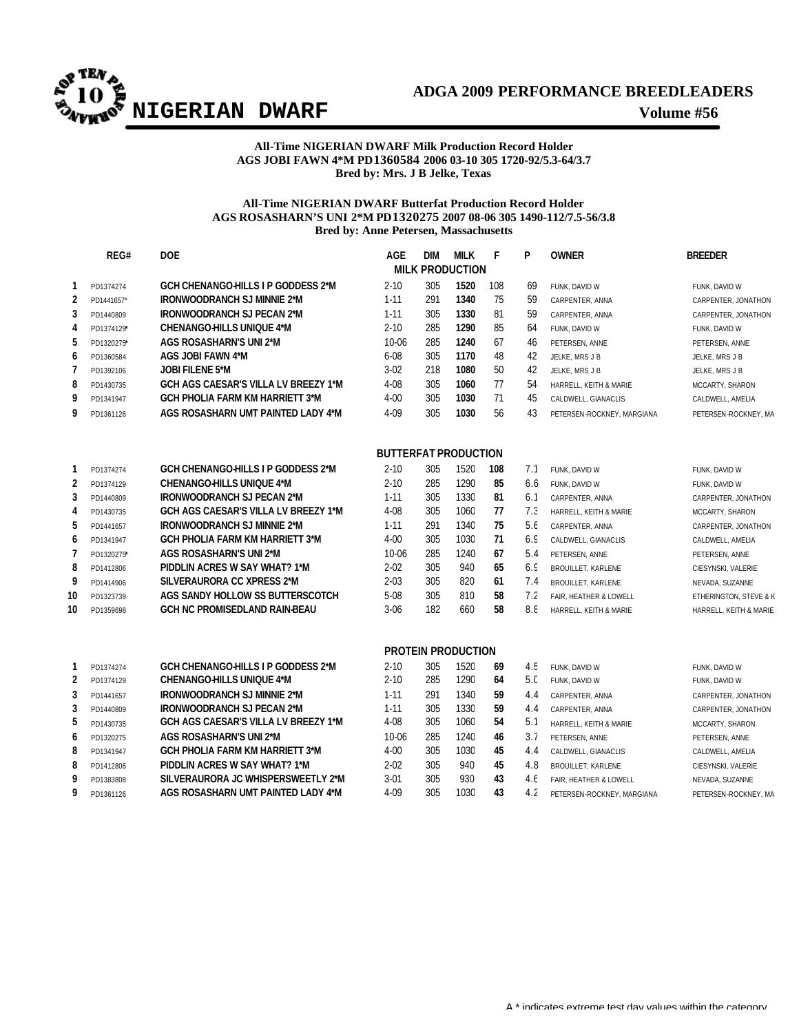

## **All-Time NIGERIAN DWARF Milk Production Record Holder AGS JOBI FAWN 4\*M PD1360584 2006 03-10 305 1720-92/5.3-64/3.7 Bred by: Mrs. J B Jelke, Texas**

## **All-Time NIGERIAN DWARF Butterfat Production Record Holder AGS ROSASHARN'S UNI 2\*M PD1320275 2007 08-06 305 1490-112/7.5-56/3.8 Bred by: Anne Petersen, Massachusetts**

|                        | REG#                        | <b>DOE</b>                                                               | <b>AGE</b>       | <b>DIM</b> | <b>MILK</b>               | F        | P               | <b>OWNER</b>               | <b>BREEDER</b>         |  |  |  |  |
|------------------------|-----------------------------|--------------------------------------------------------------------------|------------------|------------|---------------------------|----------|-----------------|----------------------------|------------------------|--|--|--|--|
| <b>MILK PRODUCTION</b> |                             |                                                                          |                  |            |                           |          |                 |                            |                        |  |  |  |  |
| 1                      | PD1374274                   | <b>GCH CHENANGO-HILLS I P GODDESS 2*M</b>                                | $2 - 10$         | 305        | 1520                      | 108      | 69              | FUNK, DAVID W              | FUNK, DAVID W          |  |  |  |  |
| $\overline{2}$         | PD1441657*                  | <b>IRONWOODRANCH SJ MINNIE 2*M</b>                                       | $1 - 11$         | 291        | 1340                      | 75       | 59              | CARPENTER, ANNA            | CARPENTER, JONATHON    |  |  |  |  |
| 3                      | PD1440809                   | <b>IRONWOODRANCH SJ PECAN 2*M</b>                                        | $1 - 11$         | 305        | 1330                      | 81       | 59              | CARPENTER, ANNA            | CARPENTER, JONATHON    |  |  |  |  |
| 4                      | PD1374129*                  | <b>CHENANGO-HILLS UNIQUE 4*M</b>                                         | $2 - 10$         | 285        | 1290                      | 85       | 64              | FUNK, DAVID W              | FUNK, DAVID W          |  |  |  |  |
| 5                      | PD1320275*                  | <b>AGS ROSASHARN'S UNI 2*M</b>                                           | 10-06            | 285        | 1240                      | 67       | 46              | PETERSEN, ANNE             | PETERSEN, ANNE         |  |  |  |  |
| 6                      | PD1360584                   | AGS JOBI FAWN 4*M                                                        | $6 - 08$         | 305        | 1170                      | 48       | 42              | JELKE, MRS J B             | JELKE, MRS J B         |  |  |  |  |
| 7                      | PD1392106                   | <b>JOBI FILENE 5*M</b>                                                   | $3-02$           | 218        | 1080                      | 50       | 42              | JELKE, MRS J B             | JELKE, MRS J B         |  |  |  |  |
| 8                      | PD1430735                   | GCH AGS CAESAR'S VILLA LV BREEZY 1*M                                     | $4 - 08$         | 305        | 1060                      | 77       | 54              | HARRELL, KEITH & MARIE     | MCCARTY, SHARON        |  |  |  |  |
| 9                      | PD1341947                   | <b>GCH PHOLIA FARM KM HARRIETT 3*M</b>                                   | $4 - 00$         | 305        | 1030                      | 71       | 45              | CALDWELL, GIANACLIS        | CALDWELL, AMELIA       |  |  |  |  |
| 9                      | PD1361126                   | AGS ROSASHARN UMT PAINTED LADY 4*M                                       | 4-09             | 305        | 1030                      | 56       | 43              | PETERSEN-ROCKNEY, MARGIANA | PETERSEN-ROCKNEY, MA   |  |  |  |  |
|                        | <b>BUTTERFAT PRODUCTION</b> |                                                                          |                  |            |                           |          |                 |                            |                        |  |  |  |  |
| 1                      | PD1374274                   | <b>GCH CHENANGO-HILLS I P GODDESS 2*M</b>                                | $2 - 10$         | 305        | 1520                      | 108      | 7.1             | FUNK, DAVID W              | FUNK, DAVID W          |  |  |  |  |
| $\overline{2}$         | PD1374129                   | <b>CHENANGO-HILLS UNIOUE 4*M</b>                                         | $2 - 10$         | 285        | 1290                      | 85       | 6.6             | FUNK, DAVID W              | FUNK, DAVID W          |  |  |  |  |
| 3                      | PD1440809                   | <b>IRONWOODRANCH SJ PECAN 2*M</b>                                        | $1 - 11$         | 305        | 1330                      | 81       | 6.1             | CARPENTER, ANNA            | CARPENTER, JONATHON    |  |  |  |  |
| 4                      | PD1430735                   | GCH AGS CAESAR'S VILLA LV BREEZY 1*M                                     | 4-08             | 305        | 1060                      | 77       | 7.3             | HARRELL, KEITH & MARIE     | MCCARTY, SHARON        |  |  |  |  |
| 5                      | PD1441657                   | <b>IRONWOODRANCH SJ MINNIE 2*M</b>                                       | $1 - 11$         | 291        | 1340                      | 75       | 5.6             | CARPENTER, ANNA            | CARPENTER, JONATHON    |  |  |  |  |
| 6                      | PD1341947                   | <b>GCH PHOLIA FARM KM HARRIETT 3*M</b>                                   | $4 - 00$         | 305        | 1030                      | 71       | 6.9             | CALDWELL, GIANACLIS        | CALDWELL, AMELIA       |  |  |  |  |
| $\overline{7}$         | PD1320275*                  | AGS ROSASHARN'S UNI 2*M                                                  | 10-06            | 285        | 1240                      | 67       | 5.4             | PETERSEN, ANNE             | PETERSEN, ANNE         |  |  |  |  |
| 8                      | PD1412806                   | PIDDLIN ACRES W SAY WHAT? 1*M                                            | $2 - 02$         | 305        | 940                       | 65       | 6.9             | BROUILLET, KARLENE         | CIESYNSKI, VALERIE     |  |  |  |  |
| 9                      | PD1414906                   | SILVERAURORA CC XPRESS 2*M                                               | $2 - 03$         | 305        | 820                       | 61       | 7.4             | BROUILLET. KARLENE         | NEVADA, SUZANNE        |  |  |  |  |
| 10                     | PD1323739                   | AGS SANDY HOLLOW SS BUTTERSCOTCH                                         | $5 - 08$         | 305        | 810                       | 58       | 7.2             | FAIR, HEATHER & LOWELL     | ETHERINGTON, STEVE & K |  |  |  |  |
| 10                     | PD1359698                   | GCH NC PROMISEDLAND RAIN-BEAU                                            | $3 - 06$         | 182        | 660                       | 58       | 8.8             | HARRELL, KEITH & MARIE     | HARRELL, KEITH & MARIE |  |  |  |  |
|                        |                             |                                                                          |                  |            |                           |          |                 |                            |                        |  |  |  |  |
|                        |                             |                                                                          |                  |            | <b>PROTEIN PRODUCTION</b> |          |                 |                            |                        |  |  |  |  |
| 1                      | PD1374274                   | <b>GCH CHENANGO-HILLS I P GODDESS 2*M</b>                                | $2 - 10$         | 305        | 1520                      | 69       | 4.5             | FUNK, DAVID W              | FUNK, DAVID W          |  |  |  |  |
| $\overline{2}$         | PD1374129                   | <b>CHENANGO-HILLS UNIQUE 4*M</b>                                         | $2 - 10$         | 285        | 1290                      | 64       | 5. <sub>C</sub> | FUNK, DAVID W              | FUNK, DAVID W          |  |  |  |  |
| 3                      | PD1441657                   | <b>IRONWOODRANCH SJ MINNIE 2*M</b>                                       | $1 - 11$         | 291        | 1340                      | 59       | 4.4             | CARPENTER, ANNA            | CARPENTER, JONATHON    |  |  |  |  |
| 3                      | PD1440809                   | <b>IRONWOODRANCH SJ PECAN 2*M</b>                                        | $1 - 11$         | 305        | 1330                      | 59       | 4.4             | CARPENTER, ANNA            | CARPENTER, JONATHON    |  |  |  |  |
| 5                      | PD1430735                   | GCH AGS CAESAR'S VILLA LV BREEZY 1*M                                     | $4 - 08$         | 305        | 1060                      | 54       | 5.1             | HARRELL, KEITH & MARIE     | MCCARTY, SHARON        |  |  |  |  |
| 6                      | PD1320275                   | AGS ROSASHARN'S UNI 2*M                                                  | $10 - 06$        | 285        | 1240                      | 46       | 3.7             | PETERSEN, ANNE             | PETERSEN, ANNE         |  |  |  |  |
| 8                      | PD1341947                   | <b>GCH PHOLIA FARM KM HARRIETT 3*M</b>                                   | $4 - 00$         | 305        | 1030                      | 45       | 4.4             | CALDWELL, GIANACLIS        | CALDWELL, AMELIA       |  |  |  |  |
| 8                      | PD1412806                   | PIDDLIN ACRES W SAY WHAT? 1*M                                            | $2 - 02$         | 305        | 940                       | 45       | 4.8             | BROUILLET, KARLENE         | CIESYNSKI, VALERIE     |  |  |  |  |
| 9<br>9                 | PD1383808                   | SILVERAURORA JC WHISPERSWEETLY 2*M<br>AGS ROSASHARN UMT PAINTED LADY 4*M | $3 - 01$<br>4-09 | 305<br>305 | 930<br>1030               | 43<br>43 | 4.6             | FAIR, HEATHER & LOWELL     | NEVADA, SUZANNE        |  |  |  |  |
|                        | PD1361126                   |                                                                          |                  |            |                           |          | 4.2             | PETERSEN-ROCKNEY, MARGIANA | PETERSEN-ROCKNEY, MA   |  |  |  |  |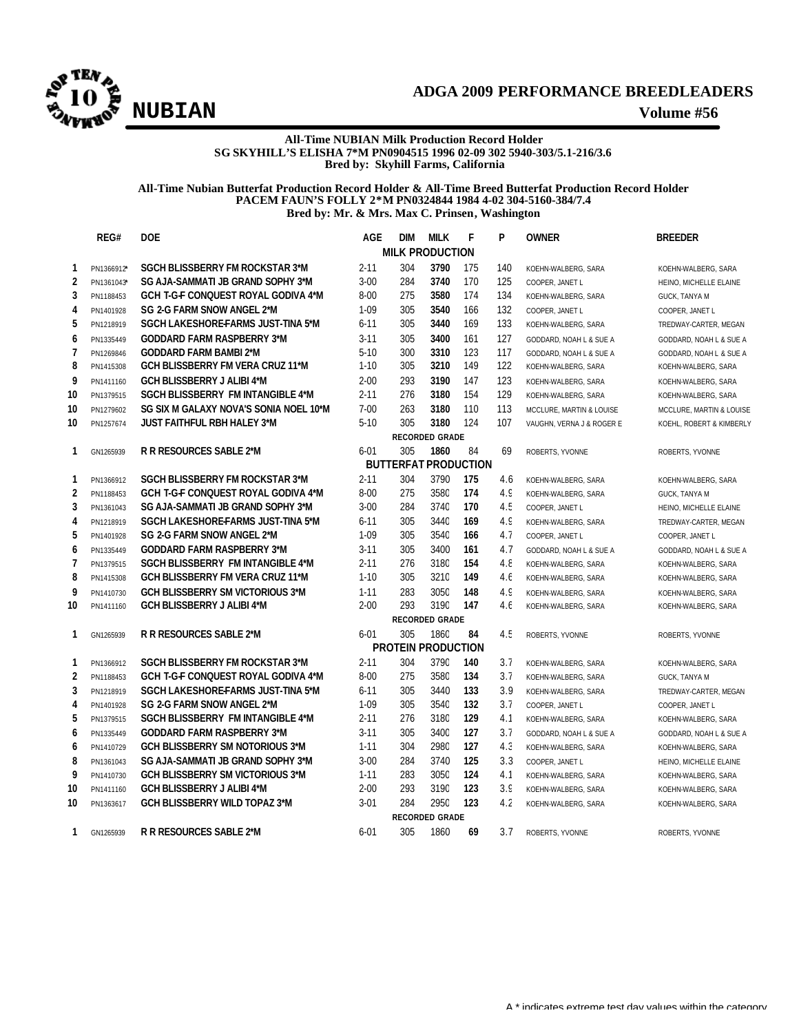

## **All-Time NUBIAN Milk Production Record Holder SG SKYHILL'S ELISHA 7\*M PN0904515 1996 02-09 302 5940-303/5.1-216/3.6 Bred by: Skyhill Farms, California**

### **All-Time Nubian Butterfat Production Record Holder & All-Time Breed Butterfat Production Record Holder PACEM FAUN'S FOLLY 2\*M PN0324844 1984 4-02 304-5160-384/7.4 Bred by: Mr. & Mrs. Max C. Prinsen, Washington**

|                         | REG#                  | <b>DOE</b>                                                                  | <b>AGE</b>           | <b>DIM</b>                  | <b>MILK</b>           | F          | P          | <b>OWNER</b>              | <b>BREEDER</b>           |  |  |
|-------------------------|-----------------------|-----------------------------------------------------------------------------|----------------------|-----------------------------|-----------------------|------------|------------|---------------------------|--------------------------|--|--|
|                         |                       |                                                                             |                      | <b>MILK PRODUCTION</b>      |                       |            |            |                           |                          |  |  |
| $\mathbf{1}$            | PN1366912*            | <b>SGCH BLISSBERRY FM ROCKSTAR 3*M</b>                                      | $2 - 11$             | 304                         | 3790                  | 175        | 140        | KOEHN-WALBERG, SARA       | KOEHN-WALBERG, SARA      |  |  |
| $\overline{\mathbf{c}}$ | PN1361043*            | SG AJA-SAMMATI JB GRAND SOPHY 3*M                                           | $3 - 00$             | 284                         | 3740                  | 170        | 125        | COOPER, JANET L           | HEINO, MICHELLE ELAINE   |  |  |
| 3                       | PN1188453             | <b>GCH T-G-F CONQUEST ROYAL GODIVA 4*M</b>                                  | $8 - 00$             | 275                         | 3580                  | 174        | 134        | KOEHN-WALBERG, SARA       | GUCK, TANYA M            |  |  |
| $\overline{4}$          | PN1401928             | SG 2-G FARM SNOW ANGEL 2*M                                                  | $1 - 09$             | 305                         | 3540                  | 166        | 132        | COOPER, JANET L           | COOPER, JANET L          |  |  |
| 5                       | PN1218919             | SGCH LAKESHORE-FARMS JUST-TINA 5*M                                          | $6 - 11$             | 305                         | 3440                  | 169        | 133        | KOEHN-WALBERG, SARA       | TREDWAY-CARTER, MEGAN    |  |  |
| 6                       | PN1335449             | <b>GODDARD FARM RASPBERRY 3*M</b>                                           | $3 - 11$             | 305                         | 3400                  | 161        | 127        | GODDARD, NOAH L & SUE A   | GODDARD, NOAH L & SUE A  |  |  |
| $\overline{7}$          | PN1269846             | <b>GODDARD FARM BAMBI 2*M</b>                                               | $5 - 10$             | 300                         | 3310                  | 123        | 117        | GODDARD, NOAH L & SUE A   | GODDARD, NOAH L & SUE A  |  |  |
| 8                       | PN1415308             | GCH BLISSBERRY FM VERA CRUZ 11*M                                            | $1 - 10$             | 305                         | 3210                  | 149        | 122        | KOEHN-WALBERG, SARA       | KOEHN-WALBERG, SARA      |  |  |
| 9                       | PN1411160             | <b>GCH BLISSBERRY J ALIBI 4*M</b>                                           | $2 - 00$             | 293                         | 3190                  | 147        | 123        | KOEHN-WALBERG, SARA       | KOEHN-WALBERG, SARA      |  |  |
| 10                      | PN1379515             | <b>SGCH BLISSBERRY FM INTANGIBLE 4*M</b>                                    | $2 - 11$             | 276                         | 3180                  | 154        | 129        | KOEHN-WALBERG, SARA       | KOEHN-WALBERG, SARA      |  |  |
| 10                      | PN1279602             | SG SIX M GALAXY NOVA'S SONIA NOEL 10*M                                      | $7 - 00$             | 263                         | 3180                  | 110        | 113        | MCCLURE, MARTIN & LOUISE  | MCCLURE, MARTIN & LOUISE |  |  |
| 10                      | PN1257674             | <b>JUST FAITHFUL RBH HALEY 3*M</b>                                          | $5 - 10$             | 305                         | 3180                  | 124        | 107        | VAUGHN, VERNA J & ROGER E | KOEHL, ROBERT & KIMBERLY |  |  |
|                         | <b>RECORDED GRADE</b> |                                                                             |                      |                             |                       |            |            |                           |                          |  |  |
| 1                       | GN1265939             | <b>R R RESOURCES SABLE 2*M</b>                                              | $6 - 01$             | 305                         | 1860                  | 84         | 69         | ROBERTS, YVONNE           | ROBERTS, YVONNE          |  |  |
|                         |                       |                                                                             |                      | <b>BUTTERFAT PRODUCTION</b> |                       |            |            |                           |                          |  |  |
| 1                       | PN1366912             | <b>SGCH BLISSBERRY FM ROCKSTAR 3*M</b>                                      | $2 - 11$             | 304                         | 3790                  | 175        | 4.6        | KOEHN-WALBERG, SARA       | KOEHN-WALBERG, SARA      |  |  |
| 2                       | PN1188453             | <b>GCH T-G-F CONQUEST ROYAL GODIVA 4*M</b>                                  | $8 - 00$             | 275                         | 3580                  | 174        | 4.9        | KOEHN-WALBERG, SARA       | GUCK, TANYA M            |  |  |
| 3                       | PN1361043             | SG AJA-SAMMATI JB GRAND SOPHY 3*M                                           | $3 - 00$             | 284                         | 3740                  | 170        | 4.5        | COOPER, JANET L           | HEINO, MICHELLE ELAINE   |  |  |
| 4                       | PN1218919             | SGCH LAKESHORE-FARMS JUST-TINA 5*M                                          | $6 - 11$             | 305                         | 3440                  | 169        | 4.9        | KOEHN-WALBERG, SARA       | TREDWAY-CARTER, MEGAN    |  |  |
| 5                       | PN1401928             | SG 2-G FARM SNOW ANGEL 2*M                                                  | $1 - 09$             | 305                         | 3540                  | 166        | 4.7        | COOPER, JANET L           | COOPER, JANET L          |  |  |
| 6                       | PN1335449             | <b>GODDARD FARM RASPBERRY 3*M</b>                                           | $3 - 11$             | 305                         | 3400                  | 161        | 4.7        | GODDARD, NOAH L & SUE A   | GODDARD, NOAH L & SUE A  |  |  |
| $\overline{1}$          | PN1379515             | <b>SGCH BLISSBERRY FM INTANGIBLE 4*M</b>                                    | $2 - 11$             | 276                         | 3180                  | 154        | 4.8        | KOEHN-WALBERG, SARA       | KOEHN-WALBERG, SARA      |  |  |
| 8                       | PN1415308             | <b>GCH BLISSBERRY FM VERA CRUZ 11*M</b>                                     | $1 - 10$             | 305                         | 3210                  | 149        | 4.6        | KOEHN-WALBERG, SARA       | KOEHN-WALBERG, SARA      |  |  |
| 9                       | PN1410730             | <b>GCH BLISSBERRY SM VICTORIOUS 3*M</b>                                     | $1 - 11$             | 283                         | 3050                  | 148        | 4.9        | KOEHN-WALBERG, SARA       | KOEHN-WALBERG, SARA      |  |  |
| 10                      | PN1411160             | <b>GCH BLISSBERRY J ALIBI 4*M</b>                                           | $2 - 00$             | 293                         | 3190                  | 147        | 4.6        | KOEHN-WALBERG, SARA       | KOEHN-WALBERG, SARA      |  |  |
|                         |                       |                                                                             |                      |                             | <b>RECORDED GRADE</b> |            |            |                           |                          |  |  |
| 1                       | GN1265939             | <b>R R RESOURCES SABLE 2*M</b>                                              | $6 - 01$             | 305                         | 1860                  | 84         | 4.5        | ROBERTS, YVONNE           | ROBERTS, YVONNE          |  |  |
|                         |                       |                                                                             |                      | <b>PROTEIN PRODUCTION</b>   |                       |            |            |                           |                          |  |  |
| 1                       | PN1366912             | <b>SGCH BLISSBERRY FM ROCKSTAR 3*M</b>                                      | $2 - 11$             | 304                         | 3790                  | 140        | 3.7        | KOEHN-WALBERG, SARA       | KOEHN-WALBERG, SARA      |  |  |
| $\overline{2}$          | PN1188453             | <b>GCH T-G-F CONQUEST ROYAL GODIVA 4*M</b>                                  | $8 - 00$             | 275                         | 3580                  | 134        | 3.7        | KOEHN-WALBERG, SARA       | GUCK, TANYA M            |  |  |
| 3                       | PN1218919             | SGCH LAKESHORE-FARMS JUST-TINA 5*M                                          | $6 - 11$             | 305                         | 3440                  | 133        | 3.9        | KOEHN-WALBERG, SARA       | TREDWAY-CARTER, MEGAN    |  |  |
| 4<br>5                  | PN1401928             | SG 2-G FARM SNOW ANGEL 2*M<br><b>SGCH BLISSBERRY FM INTANGIBLE 4*M</b>      | $1 - 09$<br>$2 - 11$ | 305<br>276                  | 3540<br>3180          | 132<br>129 | 3.7<br>4.1 | COOPER, JANET L           | COOPER, JANET L          |  |  |
|                         | PN1379515             |                                                                             |                      |                             |                       |            |            | KOEHN-WALBERG, SARA       | KOEHN-WALBERG, SARA      |  |  |
| 6                       | PN1335449             | <b>GODDARD FARM RASPBERRY 3*M</b><br><b>GCH BLISSBERRY SM NOTORIOUS 3*M</b> | $3 - 11$             | 305<br>304                  | 3400<br>2980          | 127<br>127 | 3.7<br>4.3 | GODDARD, NOAH L & SUE A   | GODDARD, NOAH L & SUE A  |  |  |
| 6                       | PN1410729             |                                                                             | $1 - 11$             |                             |                       |            |            | KOEHN-WALBERG, SARA       | KOEHN-WALBERG, SARA      |  |  |
| 8<br>9                  | PN1361043             | SG AJA-SAMMATI JB GRAND SOPHY 3*M                                           | $3 - 00$             | 284                         | 3740                  | 125        | 3.3        | COOPER, JANET L           | HEINO, MICHELLE ELAINE   |  |  |
|                         | PN1410730             | <b>GCH BLISSBERRY SM VICTORIOUS 3*M</b>                                     | $1 - 11$             | 283<br>293                  | 3050<br>3190          | 124<br>123 | 4.1<br>3.9 | KOEHN-WALBERG, SARA       | KOEHN-WALBERG, SARA      |  |  |
| 10                      | PN1411160             | <b>GCH BLISSBERRY J ALIBI 4*M</b>                                           | $2 - 00$             | 284                         | 2950                  | 123        |            | KOEHN-WALBERG, SARA       | KOEHN-WALBERG, SARA      |  |  |
| 10                      | PN1363617             | <b>GCH BLISSBERRY WILD TOPAZ 3*M</b>                                        | $3 - 01$             |                             | <b>RECORDED GRADE</b> |            | 4.2        | KOEHN-WALBERG, SARA       | KOEHN-WALBERG, SARA      |  |  |
| 1                       |                       | <b>R R RESOURCES SABLE 2*M</b>                                              | $6 - 01$             | 305                         | 1860                  | 69         | 3.7        |                           |                          |  |  |
|                         | GN1265939             |                                                                             |                      |                             |                       |            |            | ROBERTS, YVONNE           | ROBERTS, YVONNE          |  |  |
|                         |                       |                                                                             |                      |                             |                       |            |            |                           |                          |  |  |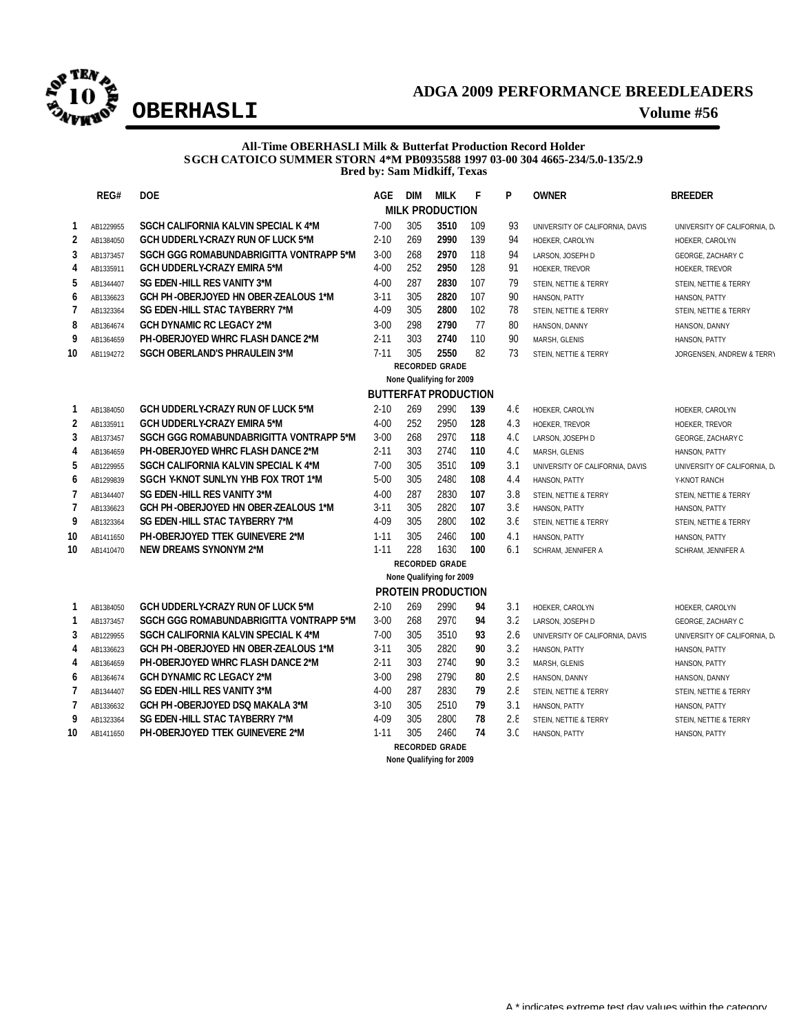

## **All-Time OBERHASLI Milk & Butterfat Production Record Holder SGCH CATOICO SUMMER STORN 4\*M PB0935588 1997 03-00 304 4665-234/5.0-135/2.9 Bred by: Sam Midkiff, Texas**

|                          | REG#                     | <b>DOE</b>                               | AGE      | <b>DIM</b> | <b>MILK</b>                 | F   | P               | <b>OWNER</b>                    | <b>BREEDER</b>               |  |  |  |  |
|--------------------------|--------------------------|------------------------------------------|----------|------------|-----------------------------|-----|-----------------|---------------------------------|------------------------------|--|--|--|--|
| <b>MILK PRODUCTION</b>   |                          |                                          |          |            |                             |     |                 |                                 |                              |  |  |  |  |
| 1                        | AB1229955                | SGCH CALIFORNIA KALVIN SPECIAL K 4*M     | $7 - 00$ | 305        | 3510                        | 109 | 93              | UNIVERSITY OF CALIFORNIA, DAVIS | UNIVERSITY OF CALIFORNIA, D. |  |  |  |  |
| $\overline{2}$           | AB1384050                | <b>GCH UDDERLY-CRAZY RUN OF LUCK 5*M</b> | $2 - 10$ | 269        | 2990                        | 139 | 94              | HOEKER, CAROLYN                 | HOEKER, CAROLYN              |  |  |  |  |
| 3                        | AB1373457                | SGCH GGG ROMABUNDABRIGITTA VONTRAPP 5*M  | $3 - 00$ | 268        | 2970                        | 118 | 94              | LARSON, JOSEPH D                | GEORGE, ZACHARY C            |  |  |  |  |
| 4                        | AB1335911                | <b>GCH UDDERLY-CRAZY EMIRA 5*M</b>       | $4 - 00$ | 252        | 2950                        | 128 | 91              | HOEKER, TREVOR                  | HOEKER, TREVOR               |  |  |  |  |
| 5                        | AB1344407                | SG EDEN-HILL RES VANITY 3*M              | $4 - 00$ | 287        | 2830                        | 107 | 79              | STEIN, NETTIE & TERRY           | STEIN, NETTIE & TERRY        |  |  |  |  |
| 6                        | AB1336623                | GCH PH-OBERJOYED HN OBER-ZEALOUS 1*M     | $3 - 11$ | 305        | 2820                        | 107 | 90              | HANSON, PATTY                   | HANSON, PATTY                |  |  |  |  |
| $\overline{\phantom{a}}$ | AB1323364                | SG EDEN-HILL STAC TAYBERRY 7*M           | 4-09     | 305        | 2800                        | 102 | 78              | STEIN, NETTIE & TERRY           | STEIN, NETTIE & TERRY        |  |  |  |  |
| 8                        | AB1364674                | <b>GCH DYNAMIC RC LEGACY 2*M</b>         | $3 - 00$ | 298        | 2790                        | 77  | 80              | HANSON, DANNY                   | HANSON, DANNY                |  |  |  |  |
| 9                        | AB1364659                | PH-OBERJOYED WHRC FLASH DANCE 2*M        | $2 - 11$ | 303        | 2740                        | 110 | 90              | MARSH, GLENIS                   | HANSON, PATTY                |  |  |  |  |
| 10                       | AB1194272                | SGCH OBERLAND'S PHRAULEIN 3*M            | $7 - 11$ | 305        | 2550                        | 82  | 73              | STEIN, NETTIE & TERRY           | JORGENSEN, ANDREW & TERRY    |  |  |  |  |
|                          |                          |                                          |          |            | <b>RECORDED GRADE</b>       |     |                 |                                 |                              |  |  |  |  |
|                          | None Qualifying for 2009 |                                          |          |            |                             |     |                 |                                 |                              |  |  |  |  |
|                          |                          |                                          |          |            | <b>BUTTERFAT PRODUCTION</b> |     |                 |                                 |                              |  |  |  |  |
| 1                        | AB1384050                | <b>GCH UDDERLY-CRAZY RUN OF LUCK 5*M</b> | $2 - 10$ | 269        | 2990                        | 139 | 4.6             | HOEKER, CAROLYN                 | HOEKER, CAROLYN              |  |  |  |  |
| 2                        | AB1335911                | <b>GCH UDDERLY-CRAZY EMIRA 5*M</b>       | $4 - 00$ | 252        | 2950                        | 128 | 4.3             | <b>HOEKER, TREVOR</b>           | HOEKER, TREVOR               |  |  |  |  |
| 3                        | AB1373457                | SGCH GGG ROMABUNDABRIGITTA VONTRAPP 5*M  | $3 - 00$ | 268        | 2970                        | 118 | 4.C             | LARSON, JOSEPH D                | GEORGE, ZACHARY C            |  |  |  |  |
| 4                        | AB1364659                | <b>PH-OBERJOYED WHRC FLASH DANCE 2*M</b> | $2 - 11$ | 303        | 2740                        | 110 | 4. <sub>C</sub> | MARSH, GLENIS                   | HANSON, PATTY                |  |  |  |  |
| 5                        | AB1229955                | SGCH CALIFORNIA KALVIN SPECIAL K 4*M     | $7 - 00$ | 305        | 3510                        | 109 | 3.1             | UNIVERSITY OF CALIFORNIA, DAVIS | UNIVERSITY OF CALIFORNIA, D. |  |  |  |  |
| 6                        | AB1299839                | SGCH Y-KNOT SUNLYN YHB FOX TROT 1*M      | $5 - 00$ | 305        | 2480                        | 108 | 4.4             | HANSON, PATTY                   | Y-KNOT RANCH                 |  |  |  |  |
| $\overline{\phantom{a}}$ | AB1344407                | SG EDEN-HILL RES VANITY 3*M              | $4 - 00$ | 287        | 2830                        | 107 | 3.8             | STEIN, NETTIE & TERRY           | STEIN, NETTIE & TERRY        |  |  |  |  |
| $\overline{7}$           | AB1336623                | GCH PH-OBERJOYED HN OBER-ZEALOUS 1*M     | $3 - 11$ | 305        | 2820                        | 107 | 3.8             | HANSON, PATTY                   | HANSON, PATTY                |  |  |  |  |
| 9                        | AB1323364                | SG EDEN-HILL STAC TAYBERRY 7*M           | 4-09     | 305        | 2800                        | 102 | 3.6             | STEIN, NETTIE & TERRY           | STEIN, NETTIE & TERRY        |  |  |  |  |
| 10                       | AB1411650                | PH-OBERJOYED TTEK GUINEVERE 2*M          | $1 - 11$ | 305        | 2460                        | 100 | 4.1             | HANSON, PATTY                   | HANSON, PATTY                |  |  |  |  |
| 10                       | AB1410470                | NEW DREAMS SYNONYM 2*M                   | $1 - 11$ | 228        | 1630                        | 100 | 6.1             | SCHRAM, JENNIFER A              | SCHRAM, JENNIFER A           |  |  |  |  |
|                          |                          |                                          |          |            | <b>RECORDED GRADE</b>       |     |                 |                                 |                              |  |  |  |  |
|                          |                          |                                          |          |            | None Qualifying for 2009    |     |                 |                                 |                              |  |  |  |  |
|                          |                          |                                          |          |            | <b>PROTEIN PRODUCTION</b>   |     |                 |                                 |                              |  |  |  |  |
| 1                        | AB1384050                | GCH UDDERLY-CRAZY RUN OF LUCK 5*M        | $2 - 10$ | 269        | 2990                        | 94  | 3.1             | HOEKER, CAROLYN                 | HOEKER, CAROLYN              |  |  |  |  |
| $\mathbf{1}$             | AB1373457                | SGCH GGG ROMABUNDABRIGITTA VONTRAPP 5*M  | $3 - 00$ | 268        | 2970                        | 94  | 3.2             | LARSON, JOSEPH D                | GEORGE, ZACHARY C            |  |  |  |  |
| 3                        | AB1229955                | SGCH CALIFORNIA KALVIN SPECIAL K 4*M     | $7 - 00$ | 305        | 3510                        | 93  | 2.6             | UNIVERSITY OF CALIFORNIA, DAVIS | UNIVERSITY OF CALIFORNIA, D/ |  |  |  |  |
| 4                        | AB1336623                | GCH PH-OBERJOYED HN OBER-ZEALOUS 1*M     | $3 - 11$ | 305        | 2820                        | 90  | 3.2             | HANSON, PATTY                   | HANSON, PATTY                |  |  |  |  |
| 4                        | AB1364659                | <b>PH-OBERJOYED WHRC FLASH DANCE 2*M</b> | $2 - 11$ | 303        | 2740                        | 90  | 3.3             | MARSH, GLENIS                   | HANSON, PATTY                |  |  |  |  |
| 6                        | AB1364674                | <b>GCH DYNAMIC RC LEGACY 2*M</b>         | $3 - 00$ | 298        | 2790                        | 80  | 2.9             | HANSON, DANNY                   | HANSON, DANNY                |  |  |  |  |
| $\overline{\phantom{a}}$ | AB1344407                | SG EDEN-HILL RES VANITY 3*M              | $4 - 00$ | 287        | 2830                        | 79  | 2.8             | STEIN, NETTIE & TERRY           | STEIN, NETTIE & TERRY        |  |  |  |  |
| $\overline{7}$           | AB1336632                | GCH PH-OBERJOYED DSO MAKALA 3*M          | $3 - 10$ | 305        | 2510                        | 79  | 3.1             | HANSON, PATTY                   | HANSON, PATTY                |  |  |  |  |
| 9                        | AB1323364                | SG EDEN-HILL STAC TAYBERRY 7*M           | 4-09     | 305        | 2800                        | 78  | 2.8             | STEIN, NETTIE & TERRY           | STEIN, NETTIE & TERRY        |  |  |  |  |
| 10                       | AB1411650                | PH-OBERJOYED TTEK GUINEVERE 2*M          | $1 - 11$ | 305        | 2460                        | 74  | 3 <sub>c</sub>  | HANSON, PATTY                   | HANSON, PATTY                |  |  |  |  |

**RECORDED GRADE**

**None Qualifying for 2009**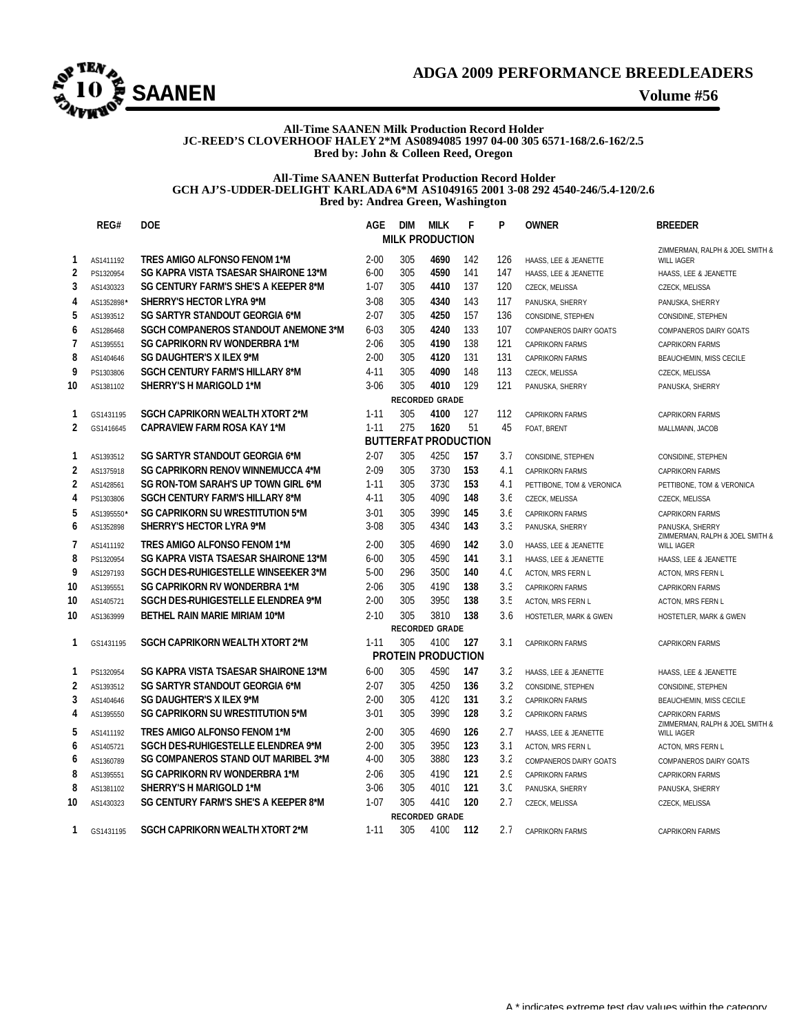

### **All-Time SAANEN Milk Production Record Holder JC-REED'S CLOVERHOOF HALEY 2\*M AS0894085 1997 04-00 305 6571-168/2.6-162/2.5 Bred by: John & Colleen Reed, Oregon**

### **All-Time SAANEN Butterfat Production Record Holder GCH AJ'S-UDDER-DELIGHT KARLADA 6\*M AS1049165 2001 3-08 292 4540-246/5.4-120/2.6 Bred by: Andrea Green, Washington**

|                          | REG#                  | <b>DOE</b>                                  | <b>AGE</b> | <b>DIM</b>                       | <b>MILK</b>           | F   | P   | <b>OWNER</b>              | <b>BREEDER</b>                                       |  |  |  |
|--------------------------|-----------------------|---------------------------------------------|------------|----------------------------------|-----------------------|-----|-----|---------------------------|------------------------------------------------------|--|--|--|
|                          |                       |                                             |            | <b>MILK PRODUCTION</b>           |                       |     |     |                           | ZIMMERMAN, RALPH & JOEL SMITH &                      |  |  |  |
| 1                        | AS1411192             | TRES AMIGO ALFONSO FENOM 1*M                | $2 - 00$   | 305                              | 4690                  | 142 | 126 | HAASS, LEE & JEANETTE     | <b>WILL IAGER</b>                                    |  |  |  |
| $\overline{\mathbf{c}}$  | PS1320954             | SG KAPRA VISTA TSAESAR SHAIRONE 13*M        | $6 - 00$   | 305                              | 4590                  | 141 | 147 | HAASS, LEE & JEANETTE     | HAASS, LEE & JEANETTE                                |  |  |  |
| 3                        | AS1430323             | SG CENTURY FARM'S SHE'S A KEEPER 8*M        | $1 - 07$   | 305                              | 4410                  | 137 | 120 | CZECK, MELISSA            | CZECK, MELISSA                                       |  |  |  |
| 4                        | AS1352898             | <b>SHERRY'S HECTOR LYRA 9*M</b>             | $3 - 08$   | 305                              | 4340                  | 143 | 117 | PANUSKA, SHERRY           | PANUSKA, SHERRY                                      |  |  |  |
| 5                        | AS1393512             | SG SARTYR STANDOUT GEORGIA 6*M              | $2 - 07$   | 305                              | 4250                  | 157 | 136 | CONSIDINE, STEPHEN        | CONSIDINE, STEPHEN                                   |  |  |  |
| 6                        | AS1286468             | <b>SGCH COMPANEROS STANDOUT ANEMONE 3*M</b> | $6 - 03$   | 305                              | 4240                  | 133 | 107 | COMPANEROS DAIRY GOATS    | COMPANEROS DAIRY GOATS                               |  |  |  |
| $\overline{\phantom{a}}$ | AS1395551             | <b>SG CAPRIKORN RV WONDERBRA 1*M</b>        | $2 - 06$   | 305                              | 4190                  | 138 | 121 | <b>CAPRIKORN FARMS</b>    | <b>CAPRIKORN FARMS</b>                               |  |  |  |
| 8                        | AS1404646             | SG DAUGHTER'S X ILEX 9*M                    | $2 - 00$   | 305                              | 4120                  | 131 | 131 | <b>CAPRIKORN FARMS</b>    | BEAUCHEMIN, MISS CECILE                              |  |  |  |
| 9                        | PS1303806             | <b>SGCH CENTURY FARM'S HILLARY 8*M</b>      | $4 - 11$   | 305                              | 4090                  | 148 | 113 | CZECK, MELISSA            | CZECK, MELISSA                                       |  |  |  |
| 10                       | AS1381102             | SHERRY'S H MARIGOLD 1*M                     | $3 - 06$   | 305                              | 4010                  | 129 | 121 | PANUSKA, SHERRY           | PANUSKA, SHERRY                                      |  |  |  |
|                          | <b>RECORDED GRADE</b> |                                             |            |                                  |                       |     |     |                           |                                                      |  |  |  |
| 1                        | GS1431195             | <b>SGCH CAPRIKORN WEALTH XTORT 2*M</b>      | $1 - 11$   | 305                              | 4100                  | 127 | 112 | <b>CAPRIKORN FARMS</b>    | <b>CAPRIKORN FARMS</b>                               |  |  |  |
| $\overline{2}$           | GS1416645             | <b>CAPRAVIEW FARM ROSA KAY 1*M</b>          | $1 - 11$   | 275                              | 1620                  | 51  | 45  | FOAT, BRENT               | MALLMANN, JACOB                                      |  |  |  |
|                          |                       |                                             |            | <b>BUTTERFAT PRODUCTION</b>      |                       |     |     |                           |                                                      |  |  |  |
| 1                        | AS1393512             | SG SARTYR STANDOUT GEORGIA 6*M              | $2 - 07$   | 305                              | 4250                  | 157 | 3.7 | CONSIDINE, STEPHEN        | CONSIDINE, STEPHEN                                   |  |  |  |
| $\overline{2}$           | AS1375918             | <b>SG CAPRIKORN RENOV WINNEMUCCA 4*M</b>    | $2 - 09$   | 305                              | 3730                  | 153 | 4.1 | <b>CAPRIKORN FARMS</b>    | <b>CAPRIKORN FARMS</b>                               |  |  |  |
| $\overline{2}$           | AS1428561             | SG RON-TOM SARAH'S UP TOWN GIRL 6*M         | $1 - 11$   | 305                              | 3730                  | 153 | 4.1 | PETTIBONE, TOM & VERONICA | PETTIBONE, TOM & VERONICA                            |  |  |  |
| 4                        | PS1303806             | <b>SGCH CENTURY FARM'S HILLARY 8*M</b>      | $4 - 11$   | 305                              | 4090                  | 148 | 3.6 | CZECK, MELISSA            | <b>CZECK, MELISSA</b>                                |  |  |  |
| 5                        | AS1395550             | SG CAPRIKORN SU WRESTITUTION 5*M            | $3 - 01$   | 305                              | 3990                  | 145 | 3.6 | <b>CAPRIKORN FARMS</b>    | <b>CAPRIKORN FARMS</b>                               |  |  |  |
| 6                        | AS1352898             | <b>SHERRY'S HECTOR LYRA 9*M</b>             | $3-08$     | 305                              | 4340                  | 143 | 3.3 | PANUSKA, SHERRY           | PANUSKA, SHERRY                                      |  |  |  |
| 7                        | AS1411192             | TRES AMIGO ALFONSO FENOM 1*M                | $2 - 00$   | 305                              | 4690                  | 142 | 3.0 | HAASS, LEE & JEANETTE     | ZIMMERMAN, RALPH & JOEL SMITH &<br><b>WILL IAGER</b> |  |  |  |
| 8                        | PS1320954             | SG KAPRA VISTA TSAESAR SHAIRONE 13*M        | $6 - 00$   | 305                              | 4590                  | 141 | 3.1 | HAASS, LEE & JEANETTE     | HAASS, LEE & JEANETTE                                |  |  |  |
| 9                        | AS1297193             | SGCH DES-RUHIGESTELLE WINSEEKER 3*M         | $5 - 00$   | 296                              | 3500                  | 140 | 4.0 | ACTON, MRS FERN L         | ACTON, MRS FERN L                                    |  |  |  |
| 10                       | AS1395551             | SG CAPRIKORN RV WONDERBRA 1*M               | $2 - 06$   | 305                              | 4190                  | 138 | 3.3 | CAPRIKORN FARMS           | <b>CAPRIKORN FARMS</b>                               |  |  |  |
| 10                       | AS1405721             | SGCH DES-RUHIGESTELLE ELENDREA 9*M          | $2 - 00$   | 305                              | 3950                  | 138 | 3.5 | ACTON, MRS FERN L         | ACTON, MRS FERN L                                    |  |  |  |
| 10                       | AS1363999             | <b>BETHEL RAIN MARIE MIRIAM 10*M</b>        | $2 - 10$   | 305                              | 3810                  | 138 | 3.6 | HOSTETLER, MARK & GWEN    | HOSTETLER, MARK & GWEN                               |  |  |  |
|                          |                       |                                             |            |                                  | <b>RECORDED GRADE</b> |     |     |                           |                                                      |  |  |  |
| 1                        | GS1431195             | <b>SGCH CAPRIKORN WEALTH XTORT 2*M</b>      | $1 - 11$   | 305<br><b>PROTEIN PRODUCTION</b> | 4100                  | 127 | 3.1 | <b>CAPRIKORN FARMS</b>    | <b>CAPRIKORN FARMS</b>                               |  |  |  |
| 1                        | PS1320954             | SG KAPRA VISTA TSAESAR SHAIRONE 13*M        | $6 - 00$   | 305                              | 4590                  | 147 | 3.2 | HAASS, LEE & JEANETTE     | HAASS, LEE & JEANETTE                                |  |  |  |
| $\overline{2}$           | AS1393512             | SG SARTYR STANDOUT GEORGIA 6*M              | $2 - 07$   | 305                              | 4250                  | 136 | 3.2 | CONSIDINE, STEPHEN        | CONSIDINE, STEPHEN                                   |  |  |  |
| 3                        | AS1404646             | SG DAUGHTER'S X ILEX 9*M                    | $2 - 00$   | 305                              | 4120                  | 131 | 3.2 | <b>CAPRIKORN FARMS</b>    | BEAUCHEMIN, MISS CECILE                              |  |  |  |
| 4                        | AS1395550             | <b>SG CAPRIKORN SU WRESTITUTION 5*M</b>     | $3 - 01$   | 305                              | 3990                  | 128 | 3.2 | <b>CAPRIKORN FARMS</b>    | <b>CAPRIKORN FARMS</b>                               |  |  |  |
| 5                        | AS1411192             | TRES AMIGO ALFONSO FENOM 1*M                | $2 - 00$   | 305                              | 4690                  | 126 | 2.7 | HAASS, LEE & JEANETTE     | ZIMMERMAN, RALPH & JOEL SMITH &<br>WILL IAGER        |  |  |  |
| 6                        | AS1405721             | <b>SGCH DES-RUHIGESTELLE ELENDREA 9*M</b>   | $2 - 00$   | 305                              | 3950                  | 123 | 3.1 | ACTON, MRS FERN L         | ACTON, MRS FERN L                                    |  |  |  |
| 6                        | AS1360789             | SG COMPANEROS STAND OUT MARIBEL 3*M         | $4 - 00$   | 305                              | 3880                  | 123 | 3.2 | COMPANEROS DAIRY GOATS    | COMPANEROS DAIRY GOATS                               |  |  |  |
| 8                        | AS1395551             | <b>SG CAPRIKORN RV WONDERBRA 1*M</b>        | $2 - 06$   | 305                              | 4190                  | 121 | 2.9 | <b>CAPRIKORN FARMS</b>    | <b>CAPRIKORN FARMS</b>                               |  |  |  |
| 8                        | AS1381102             | SHERRY'S H MARIGOLD 1*M                     | $3 - 06$   | 305                              | 4010                  | 121 | 3.c | PANUSKA, SHERRY           | PANUSKA, SHERRY                                      |  |  |  |
| 10                       | AS1430323             | SG CENTURY FARM'S SHE'S A KEEPER 8*M        | $1 - 07$   | 305                              | 4410                  | 120 | 2.7 | CZECK, MELISSA            | <b>CZECK, MELISSA</b>                                |  |  |  |
|                          |                       |                                             |            |                                  | RECORDED GRADE        |     |     |                           |                                                      |  |  |  |
| 1                        | GS1431195             | SGCH CAPRIKORN WEALTH XTORT 2*M             | $1 - 11$   | 305                              | 4100                  | 112 | 2.7 | <b>CAPRIKORN FARMS</b>    | <b>CAPRIKORN FARMS</b>                               |  |  |  |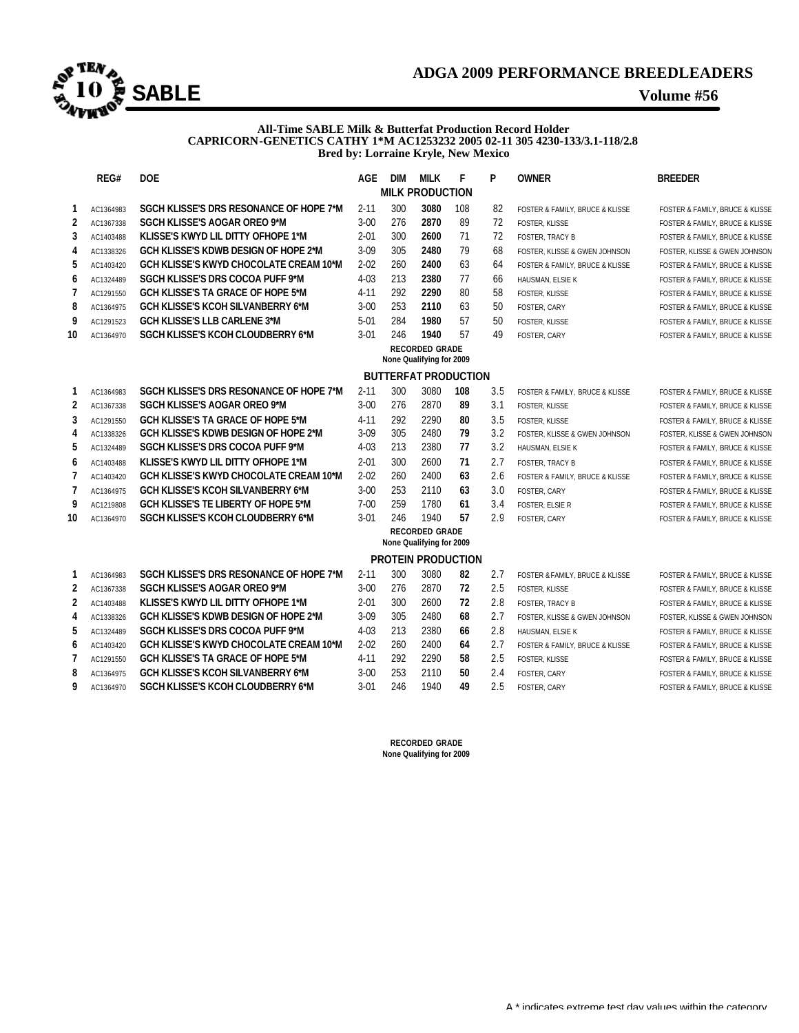

### **All-Time SABLE Milk & Butterfat Production Record Holder CAPRICORN-GENETICS CATHY 1\*M AC1253232 2005 02-11 305 4230-133/3.1-118/2.8 Bred by: Lorraine Kryle, New Mexico**

|        | REG#                                              | <b>DOE</b>                                                                            | AGE                  | DIM        | <b>MILK</b><br><b>MILK PRODUCTION</b>             | F         | P        | <b>OWNER</b>                    | <b>BREEDER</b>                  |  |  |  |  |  |
|--------|---------------------------------------------------|---------------------------------------------------------------------------------------|----------------------|------------|---------------------------------------------------|-----------|----------|---------------------------------|---------------------------------|--|--|--|--|--|
|        |                                                   |                                                                                       |                      |            |                                                   |           |          |                                 |                                 |  |  |  |  |  |
| 1      | AC1364983                                         | SGCH KLISSE'S DRS RESONANCE OF HOPE 7*M<br><b>SGCH KLISSE'S AOGAR OREO 9*M</b>        | $2 - 11$<br>$3 - 00$ | 300<br>276 | 3080<br>2870                                      | 108<br>89 | 82<br>72 | FOSTER & FAMILY, BRUCE & KLISSE | FOSTER & FAMILY, BRUCE & KLISSE |  |  |  |  |  |
| 2<br>3 | AC1367338                                         | KLISSE'S KWYD LIL DITTY OFHOPE 1*M                                                    | $2 - 01$             | 300        | 2600                                              | 71        | 72       | <b>FOSTER, KLISSE</b>           | FOSTER & FAMILY, BRUCE & KLISSE |  |  |  |  |  |
|        | AC1403488                                         |                                                                                       |                      |            |                                                   |           |          | <b>FOSTER, TRACY B</b>          | FOSTER & FAMILY, BRUCE & KLISSE |  |  |  |  |  |
| 4<br>5 | AC1338326                                         | GCH KLISSE'S KDWB DESIGN OF HOPE 2*M<br><b>GCH KLISSE'S KWYD CHOCOLATE CREAM 10*M</b> | $3-09$<br>$2 - 02$   | 305<br>260 | 2480<br>2400                                      | 79<br>63  | 68<br>64 | FOSTER, KLISSE & GWEN JOHNSON   | FOSTER, KLISSE & GWEN JOHNSON   |  |  |  |  |  |
|        | AC1403420                                         |                                                                                       |                      |            |                                                   |           |          | FOSTER & FAMILY, BRUCE & KLISSE | FOSTER & FAMILY, BRUCE & KLISSE |  |  |  |  |  |
| 6      | AC1324489                                         | SGCH KLISSE'S DRS COCOA PUFF 9*M                                                      | $4 - 03$             | 213<br>292 | 2380<br>2290                                      | 77<br>80  | 66       | HAUSMAN, ELSIE K                | FOSTER & FAMILY, BRUCE & KLISSE |  |  |  |  |  |
| 7      | AC1291550                                         | GCH KLISSE'S TA GRACE OF HOPE 5*M<br><b>GCH KLISSE'S KCOH SILVANBERRY 6*M</b>         | $4 - 11$<br>$3 - 00$ | 253        | 2110                                              | 63        | 58<br>50 | FOSTER, KLISSE                  | FOSTER & FAMILY, BRUCE & KLISSE |  |  |  |  |  |
| 8      | AC1364975                                         |                                                                                       |                      |            |                                                   |           |          | FOSTER, CARY                    | FOSTER & FAMILY, BRUCE & KLISSE |  |  |  |  |  |
| 9      | AC1291523                                         | <b>GCH KLISSE'S LLB CARLENE 3*M</b>                                                   | $5 - 01$             | 284        | 1980                                              | 57        | 50       | <b>FOSTER, KLISSE</b>           | FOSTER & FAMILY, BRUCE & KLISSE |  |  |  |  |  |
| 10     | AC1364970                                         | SGCH KLISSE'S KCOH CLOUDBERRY 6*M                                                     | $3 - 01$             | 246        | 1940                                              | 57        | 49       | FOSTER, CARY                    | FOSTER & FAMILY, BRUCE & KLISSE |  |  |  |  |  |
|        | <b>RECORDED GRADE</b><br>None Qualifying for 2009 |                                                                                       |                      |            |                                                   |           |          |                                 |                                 |  |  |  |  |  |
|        | <b>BUTTERFAT PRODUCTION</b>                       |                                                                                       |                      |            |                                                   |           |          |                                 |                                 |  |  |  |  |  |
| 1      | AC1364983                                         | SGCH KLISSE'S DRS RESONANCE OF HOPE 7*M                                               | $2 - 11$             | 300        | 3080                                              | 108       | 3.5      | FOSTER & FAMILY, BRUCE & KLISSE | FOSTER & FAMILY, BRUCE & KLISSE |  |  |  |  |  |
| 2      | AC1367338                                         | <b>SGCH KLISSE'S AOGAR OREO 9*M</b>                                                   | $3 - 00$             | 276        | 2870                                              | 89        | 3.1      | <b>FOSTER, KLISSE</b>           | FOSTER & FAMILY, BRUCE & KLISSE |  |  |  |  |  |
| 3      | AC1291550                                         | <b>GCH KLISSE'S TA GRACE OF HOPE 5*M</b>                                              | $4 - 11$             | 292        | 2290                                              | 80        | 3.5      | FOSTER, KLISSE                  | FOSTER & FAMILY, BRUCE & KLISSE |  |  |  |  |  |
| 4      | AC1338326                                         | GCH KLISSE'S KDWB DESIGN OF HOPE 2*M                                                  | $3-09$               | 305        | 2480                                              | 79        | 3.2      | FOSTER, KLISSE & GWEN JOHNSON   | FOSTER, KLISSE & GWEN JOHNSON   |  |  |  |  |  |
| 5      | AC1324489                                         | SGCH KLISSE'S DRS COCOA PUFF 9*M                                                      | $4 - 03$             | 213        | 2380                                              | 77        | 3.2      | HAUSMAN, ELSIE K                | FOSTER & FAMILY, BRUCE & KLISSE |  |  |  |  |  |
| 6      | AC1403488                                         | KLISSE'S KWYD LIL DITTY OFHOPE 1*M                                                    | $2 - 01$             | 300        | 2600                                              | 71        | 2.7      | <b>FOSTER, TRACY B</b>          | FOSTER & FAMILY, BRUCE & KLISSE |  |  |  |  |  |
| 7      | AC1403420                                         | <b>GCH KLISSE'S KWYD CHOCOLATE CREAM 10*M</b>                                         | $2 - 02$             | 260        | 2400                                              | 63        | 2.6      | FOSTER & FAMILY, BRUCE & KLISSE | FOSTER & FAMILY, BRUCE & KLISSE |  |  |  |  |  |
| 7      | AC1364975                                         | <b>GCH KLISSE'S KCOH SILVANBERRY 6*M</b>                                              | $3 - 00$             | 253        | 2110                                              | 63        | 3.0      | FOSTER, CARY                    | FOSTER & FAMILY, BRUCE & KLISSE |  |  |  |  |  |
| 9      | AC1219808                                         | <b>GCH KLISSE'S TE LIBERTY OF HOPE 5*M</b>                                            | $7 - 00$             | 259        | 1780                                              | 61        | 3.4      | <b>FOSTER, ELSIE R</b>          | FOSTER & FAMILY, BRUCE & KLISSE |  |  |  |  |  |
| 10     | AC1364970                                         | SGCH KLISSE'S KCOH CLOUDBERRY 6*M                                                     | 3-01                 | 246        | 1940                                              | 57        | 2.9      | FOSTER, CARY                    | FOSTER & FAMILY, BRUCE & KLISSE |  |  |  |  |  |
|        |                                                   |                                                                                       |                      |            | <b>RECORDED GRADE</b><br>None Qualifying for 2009 |           |          |                                 |                                 |  |  |  |  |  |
|        |                                                   |                                                                                       |                      |            | <b>PROTEIN PRODUCTION</b>                         |           |          |                                 |                                 |  |  |  |  |  |
| 1      | AC1364983                                         | SGCH KLISSE'S DRS RESONANCE OF HOPE 7*M                                               | $2 - 11$             | 300        | 3080                                              | 82        | 2.7      | FOSTER & FAMILY, BRUCE & KLISSE | FOSTER & FAMILY, BRUCE & KLISSE |  |  |  |  |  |
| 2      | AC1367338                                         | <b>SGCH KLISSE'S AOGAR OREO 9*M</b>                                                   | $3 - 00$             | 276        | 2870                                              | 72        | 2.5      | <b>FOSTER, KLISSE</b>           | FOSTER & FAMILY, BRUCE & KLISSE |  |  |  |  |  |
| 2      | AC1403488                                         | KLISSE'S KWYD LIL DITTY OFHOPE 1*M                                                    | $2 - 01$             | 300        | 2600                                              | 72        | 2.8      | FOSTER, TRACY B                 | FOSTER & FAMILY, BRUCE & KLISSE |  |  |  |  |  |
| 4      | AC1338326                                         | GCH KLISSE'S KDWB DESIGN OF HOPE 2*M                                                  | $3-09$               | 305        | 2480                                              | 68        | 2.7      | FOSTER, KLISSE & GWEN JOHNSON   | FOSTER, KLISSE & GWEN JOHNSON   |  |  |  |  |  |
| 5      | AC1324489                                         | SGCH KLISSE'S DRS COCOA PUFF 9*M                                                      | $4 - 03$             | 213        | 2380                                              | 66        | 2.8      | HAUSMAN, ELSIE K                | FOSTER & FAMILY, BRUCE & KLISSE |  |  |  |  |  |
| 6      | AC1403420                                         | GCH KLISSE'S KWYD CHOCOLATE CREAM 10*M                                                | $2 - 02$             | 260        | 2400                                              | 64        | 2.7      | FOSTER & FAMILY, BRUCE & KLISSE | FOSTER & FAMILY, BRUCE & KLISSE |  |  |  |  |  |
| 7      | AC1291550                                         | GCH KLISSE'S TA GRACE OF HOPE 5*M                                                     | $4 - 11$             | 292        | 2290                                              | 58        | 2.5      | <b>FOSTER, KLISSE</b>           | FOSTER & FAMILY, BRUCE & KLISSE |  |  |  |  |  |
| 8      | AC1364975                                         | GCH KLISSE'S KCOH SILVANBERRY 6*M                                                     | $3 - 00$             | 253        | 2110                                              | 50        | 2.4      | FOSTER, CARY                    | FOSTER & FAMILY, BRUCE & KLISSE |  |  |  |  |  |
| q      | AC1364970                                         | SGCH KLISSE'S KCOH CLOUDBERRY 6*M                                                     | $3 - 01$             | 246        | 1940                                              | 49        | 2.5      | FOSTER, CARY                    | FOSTER & FAMILY, BRUCE & KLISSE |  |  |  |  |  |

**RECORDED GRADE None Qualifying for 2009**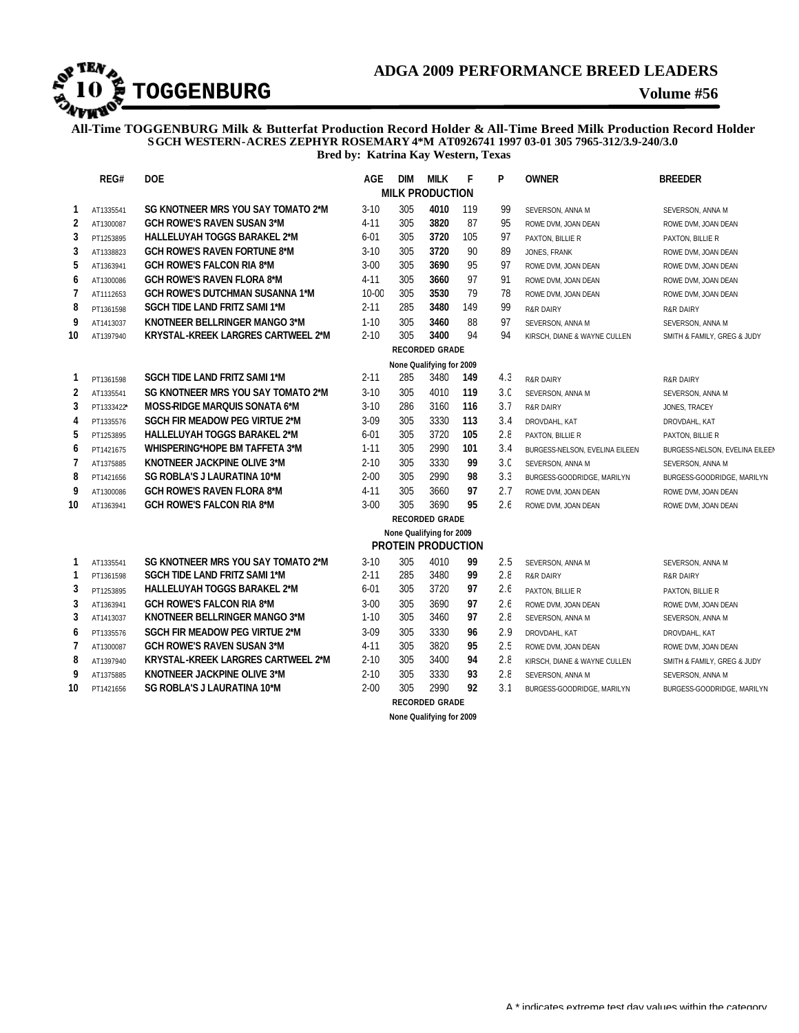

**All-Time TOGGENBURG Milk & Butterfat Production Record Holder & All-Time Breed Milk Production Record Holder SGCH WESTERN-ACRES ZEPHYR ROSEMARY 4\*M AT0926741 1997 03-01 305 7965-312/3.9-240/3.0 Bred by: Katrina Kay Western, Texas**

| REG#<br><b>DOE</b> |                          | <b>AGE</b>                                                                 | <b>DIM</b>           | <b>MILK</b> | F                                                     | P        | <b>OWNER</b>   | <b>BREEDER</b>                 |                                |  |  |  |  |
|--------------------|--------------------------|----------------------------------------------------------------------------|----------------------|-------------|-------------------------------------------------------|----------|----------------|--------------------------------|--------------------------------|--|--|--|--|
|                    |                          |                                                                            |                      |             | <b>MILK PRODUCTION</b>                                |          |                |                                |                                |  |  |  |  |
| 1                  | AT1335541                | SG KNOTNEER MRS YOU SAY TOMATO 2*M                                         | $3 - 10$             | 305         | 4010                                                  | 119      | 99             | SEVERSON, ANNA M               | SEVERSON, ANNA M               |  |  |  |  |
| $\overline{2}$     | AT1300087                | <b>GCH ROWE'S RAVEN SUSAN 3*M</b>                                          | $4 - 11$             | 305         | 3820                                                  | 87       | 95             | ROWE DVM, JOAN DEAN            | ROWE DVM, JOAN DEAN            |  |  |  |  |
| 3                  | PT1253895                | <b>HALLELUYAH TOGGS BARAKEL 2*M</b>                                        | $6-01$               | 305         | 3720                                                  | 105      | 97             | PAXTON, BILLIE R               | PAXTON, BILLIE R               |  |  |  |  |
| 3                  | AT1338823                | <b>GCH ROWE'S RAVEN FORTUNE 8*M</b>                                        | $3 - 10$             | 305         | 3720                                                  | 90       | 89             | JONES, FRANK                   | ROWE DVM, JOAN DEAN            |  |  |  |  |
| 5                  | AT1363941                | <b>GCH ROWE'S FALCON RIA 8*M</b>                                           | $3-00$               | 305         | 3690                                                  | 95       | 97             | ROWE DVM, JOAN DEAN            | ROWE DVM, JOAN DEAN            |  |  |  |  |
| 6                  | AT1300086                | <b>GCH ROWE'S RAVEN FLORA 8*M</b>                                          | $4 - 11$             | 305         | 3660                                                  | 97       | 91             | ROWE DVM, JOAN DEAN            | ROWE DVM. JOAN DEAN            |  |  |  |  |
| $\overline{7}$     | AT1112653                | <b>GCH ROWE'S DUTCHMAN SUSANNA 1*M</b>                                     | 10-00                | 305         | 3530                                                  | 79       | 78             | ROWE DVM, JOAN DEAN            | ROWE DVM, JOAN DEAN            |  |  |  |  |
| 8                  | PT1361598                | <b>SGCH TIDE LAND FRITZ SAMI 1*M</b>                                       | $2 - 11$             | 285         | 3480                                                  | 149      | 99             | <b>R&amp;R DAIRY</b>           | <b>R&amp;R DAIRY</b>           |  |  |  |  |
| 9                  | AT1413037                | KNOTNEER BELLRINGER MANGO 3*M                                              | $1 - 10$             | 305         | 3460                                                  | 88       | 97             | SEVERSON, ANNA M               | SEVERSON, ANNA M               |  |  |  |  |
| 10                 | AT1397940                | KRYSTAL-KREEK LARGRES CARTWEEL 2*M                                         | $2 - 10$             | 305         | 3400                                                  | 94       | 94             | KIRSCH, DIANE & WAYNE CULLEN   | SMITH & FAMILY, GREG & JUDY    |  |  |  |  |
|                    | <b>RECORDED GRADE</b>    |                                                                            |                      |             |                                                       |          |                |                                |                                |  |  |  |  |
|                    | None Qualifying for 2009 |                                                                            |                      |             |                                                       |          |                |                                |                                |  |  |  |  |
| 1                  | PT1361598                | <b>SGCH TIDE LAND FRITZ SAMI 1*M</b>                                       | $2 - 11$             | 285         | 3480                                                  | 149      | 4.3            | <b>R&amp;R DAIRY</b>           | <b>R&amp;R DAIRY</b>           |  |  |  |  |
| $\overline{2}$     | AT1335541                | SG KNOTNEER MRS YOU SAY TOMATO 2*M                                         | $3 - 10$             | 305         | 4010                                                  | 119      | 3 <sub>c</sub> | SEVERSON, ANNA M               | SEVERSON, ANNA M               |  |  |  |  |
| 3                  | PT1333422*               | MOSS-RIDGE MARQUIS SONATA 6*M                                              | $3 - 10$             | 286         | 3160                                                  | 116      | 3.7            | <b>R&amp;R DAIRY</b>           | JONES, TRACEY                  |  |  |  |  |
| 4                  | PT1335576                | <b>SGCH FIR MEADOW PEG VIRTUE 2*M</b>                                      | $3 - 09$             | 305         | 3330                                                  | 113      | 3.4            | DROVDAHL, KAT                  | DROVDAHL, KAT                  |  |  |  |  |
| 5                  | PT1253895                | <b>HALLELUYAH TOGGS BARAKEL 2*M</b>                                        | $6 - 01$             | 305         | 3720                                                  | 105      | 2.8            | PAXTON, BILLIE R               | PAXTON, BILLIE R               |  |  |  |  |
| 6                  | PT1421675                | <b>WHISPERING*HOPE BM TAFFETA 3*M</b>                                      | $1 - 11$             | 305         | 2990                                                  | 101      | 3.4            | BURGESS-NELSON, EVELINA EILEEN | BURGESS-NELSON, EVELINA EILEEN |  |  |  |  |
| $\overline{7}$     | AT1375885                | KNOTNEER JACKPINE OLIVE 3*M                                                | $2 - 10$             | 305         | 3330                                                  | 99       | 3.C            | SEVERSON, ANNA M               | SEVERSON, ANNA M               |  |  |  |  |
| 8                  | PT1421656                | <b>SG ROBLA'S J LAURATINA 10*M</b>                                         | $2 - 00$             | 305         | 2990                                                  | 98       | 3.3            | BURGESS-GOODRIDGE, MARILYN     | BURGESS-GOODRIDGE, MARILYN     |  |  |  |  |
| 9                  | AT1300086                | <b>GCH ROWE'S RAVEN FLORA 8*M</b>                                          | $4 - 11$             | 305         | 3660                                                  | 97       | 2.7            | ROWE DVM, JOAN DEAN            | ROWE DVM. JOAN DEAN            |  |  |  |  |
| 10                 | AT1363941                | <b>GCH ROWE'S FALCON RIA 8*M</b>                                           | $3 - 00$             | 305         | 3690                                                  | 95       | 2.f            | ROWE DVM, JOAN DEAN            | ROWE DVM, JOAN DEAN            |  |  |  |  |
|                    |                          |                                                                            |                      |             | <b>RECORDED GRADE</b>                                 |          |                |                                |                                |  |  |  |  |
|                    |                          |                                                                            |                      |             | None Qualifying for 2009<br><b>PROTEIN PRODUCTION</b> |          |                |                                |                                |  |  |  |  |
|                    |                          |                                                                            |                      |             |                                                       |          |                |                                |                                |  |  |  |  |
| 1                  | AT1335541                | SG KNOTNEER MRS YOU SAY TOMATO 2*M                                         | $3 - 10$             | 305<br>285  | 4010<br>3480                                          | 99<br>99 | 2.5<br>2.8     | SEVERSON, ANNA M               | SEVERSON, ANNA M               |  |  |  |  |
| 1<br>3             | PT1361598                | SGCH TIDE LAND FRITZ SAMI 1*M<br>HALLELUYAH TOGGS BARAKEL 2*M              | $2 - 11$<br>$6 - 01$ | 305         | 3720                                                  | 97       | 2.6            | <b>R&amp;R DAIRY</b>           | <b>R&amp;R DAIRY</b>           |  |  |  |  |
|                    | PT1253895                |                                                                            |                      |             |                                                       | 97       |                | PAXTON, BILLIE R               | PAXTON, BILLIE R               |  |  |  |  |
| 3<br>3             | AT1363941                | <b>GCH ROWE'S FALCON RIA 8*M</b><br>KNOTNEER BELLRINGER MANGO 3*M          | $3-00$<br>$1 - 10$   | 305<br>305  | 3690<br>3460                                          | 97       | 2.f<br>2.8     | ROWE DVM, JOAN DEAN            | ROWE DVM, JOAN DEAN            |  |  |  |  |
|                    | AT1413037                |                                                                            |                      |             |                                                       |          |                | SEVERSON, ANNA M               | SEVERSON, ANNA M               |  |  |  |  |
| 6                  | PT1335576                | <b>SGCH FIR MEADOW PEG VIRTUE 2*M</b><br><b>GCH ROWE'S RAVEN SUSAN 3*M</b> | $3-09$<br>$4 - 11$   | 305<br>305  | 3330<br>3820                                          | 96<br>95 | 2.9            | DROVDAHL, KAT                  | DROVDAHL, KAT                  |  |  |  |  |
| $\overline{1}$     | AT1300087                | KRYSTAL-KREEK LARGRES CARTWEEL 2*M                                         | $2 - 10$             | 305         | 3400                                                  | 94       | 2.5<br>2.8     | ROWE DVM, JOAN DEAN            | ROWE DVM, JOAN DEAN            |  |  |  |  |
| 8                  | AT1397940                | KNOTNEER JACKPINE OLIVE 3*M                                                |                      | 305         |                                                       | 93       |                | KIRSCH, DIANE & WAYNE CULLEN   | SMITH & FAMILY, GREG & JUDY    |  |  |  |  |
| 9<br>10            | AT1375885                | <b>SG ROBLA'S J LAURATINA 10*M</b>                                         | $2 - 10$<br>$2 - 00$ | 305         | 3330<br>2990                                          | 92       | 2.8<br>3.1     | SEVERSON, ANNA M               | SEVERSON, ANNA M               |  |  |  |  |
|                    | PT1421656                |                                                                            |                      |             | <b>RECORDED GRADE</b>                                 |          |                | BURGESS-GOODRIDGE, MARILYN     | BURGESS-GOODRIDGE, MARILYN     |  |  |  |  |
|                    |                          |                                                                            |                      |             |                                                       |          |                |                                |                                |  |  |  |  |

**None Qualifying for 2009**